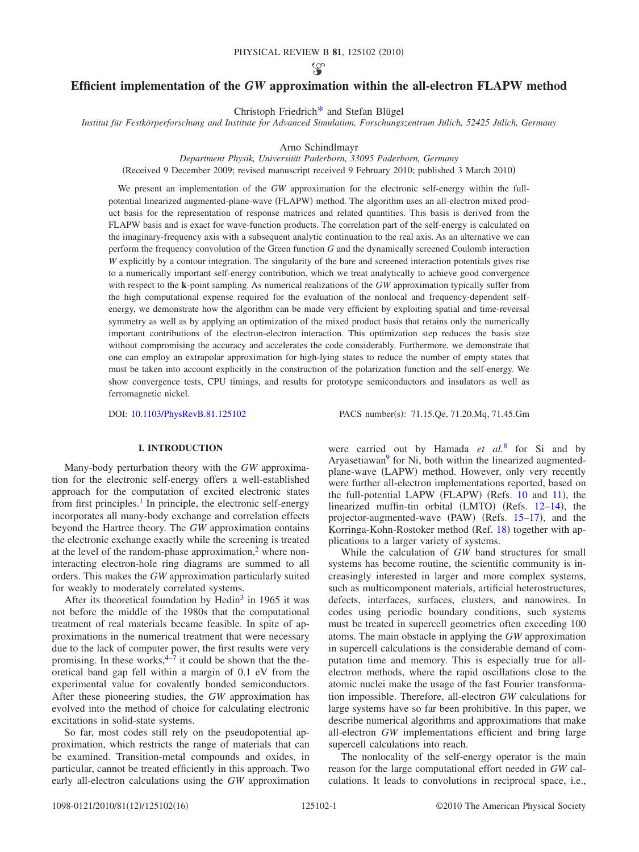ပ္စာ

# **Efficient implementation of the** *GW* **approximation within the all-electron FLAPW method**

Christoph Friedric[h\\*](#page-14-0) and Stefan Blügel

*Institut für Festkörperforschung and Institute for Advanced Simulation, Forschungszentrum Jülich, 52425 Jülich, Germany*

Arno Schindlmayr

*Department Physik, Universität Paderborn, 33095 Paderborn, Germany* Received 9 December 2009; revised manuscript received 9 February 2010; published 3 March 2010-

We present an implementation of the *GW* approximation for the electronic self-energy within the fullpotential linearized augmented-plane-wave (FLAPW) method. The algorithm uses an all-electron mixed product basis for the representation of response matrices and related quantities. This basis is derived from the FLAPW basis and is exact for wave-function products. The correlation part of the self-energy is calculated on the imaginary-frequency axis with a subsequent analytic continuation to the real axis. As an alternative we can perform the frequency convolution of the Green function *G* and the dynamically screened Coulomb interaction *W* explicitly by a contour integration. The singularity of the bare and screened interaction potentials gives rise to a numerically important self-energy contribution, which we treat analytically to achieve good convergence with respect to the **k**-point sampling. As numerical realizations of the *GW* approximation typically suffer from the high computational expense required for the evaluation of the nonlocal and frequency-dependent selfenergy, we demonstrate how the algorithm can be made very efficient by exploiting spatial and time-reversal symmetry as well as by applying an optimization of the mixed product basis that retains only the numerically important contributions of the electron-electron interaction. This optimization step reduces the basis size without compromising the accuracy and accelerates the code considerably. Furthermore, we demonstrate that one can employ an extrapolar approximation for high-lying states to reduce the number of empty states that must be taken into account explicitly in the construction of the polarization function and the self-energy. We show convergence tests, CPU timings, and results for prototype semiconductors and insulators as well as ferromagnetic nickel.

DOI: [10.1103/PhysRevB.81.125102](http://dx.doi.org/10.1103/PhysRevB.81.125102)

PACS number(s): 71.15.Qe, 71.20.Mq, 71.45.Gm

# **I. INTRODUCTION**

Many-body perturbation theory with the *GW* approximation for the electronic self-energy offers a well-established approach for the computation of excited electronic states from first principles.<sup>1</sup> In principle, the electronic self-energy incorporates all many-body exchange and correlation effects beyond the Hartree theory. The *GW* approximation contains the electronic exchange exactly while the screening is treated at the level of the random-phase approximation, $<sup>2</sup>$  where non-</sup> interacting electron-hole ring diagrams are summed to all orders. This makes the *GW* approximation particularly suited for weakly to moderately correlated systems.

After its theoretical foundation by Hedin<sup>3</sup> in 1965 it was not before the middle of the 1980s that the computational treatment of real materials became feasible. In spite of approximations in the numerical treatment that were necessary due to the lack of computer power, the first results were very promising. In these works,  $4\overline{7}$  $4\overline{7}$  $4\overline{7}$  it could be shown that the theoretical band gap fell within a margin of 0.1 eV from the experimental value for covalently bonded semiconductors. After these pioneering studies, the *GW* approximation has evolved into the method of choice for calculating electronic excitations in solid-state systems.

So far, most codes still rely on the pseudopotential approximation, which restricts the range of materials that can be examined. Transition-metal compounds and oxides, in particular, cannot be treated efficiently in this approach. Two early all-electron calculations using the *GW* approximation were carried out by Hamada *et al.*[8](#page-14-6) for Si and by Aryasetiawan<sup>9</sup> for Ni, both within the linearized augmentedplane-wave (LAPW) method. However, only very recently were further all-electron implementations reported, based on the full-potential LAPW (FLAPW) (Refs. [10](#page-14-8) and [11](#page-14-9)), the linearized muffin-tin orbital (LMTO) (Refs. [12](#page-14-10)[–14](#page-14-11)), the projector-augmented-wave  $(PAW)$   $(Refs. 15-17)$  $(Refs. 15-17)$  $(Refs. 15-17)$ , and the Korringa-Kohn-Rostoker method (Ref. [18](#page-14-14)) together with applications to a larger variety of systems.

While the calculation of *GW* band structures for small systems has become routine, the scientific community is increasingly interested in larger and more complex systems, such as multicomponent materials, artificial heterostructures, defects, interfaces, surfaces, clusters, and nanowires. In codes using periodic boundary conditions, such systems must be treated in supercell geometries often exceeding 100 atoms. The main obstacle in applying the *GW* approximation in supercell calculations is the considerable demand of computation time and memory. This is especially true for allelectron methods, where the rapid oscillations close to the atomic nuclei make the usage of the fast Fourier transformation impossible. Therefore, all-electron *GW* calculations for large systems have so far been prohibitive. In this paper, we describe numerical algorithms and approximations that make all-electron *GW* implementations efficient and bring large supercell calculations into reach.

The nonlocality of the self-energy operator is the main reason for the large computational effort needed in *GW* calculations. It leads to convolutions in reciprocal space, i.e.,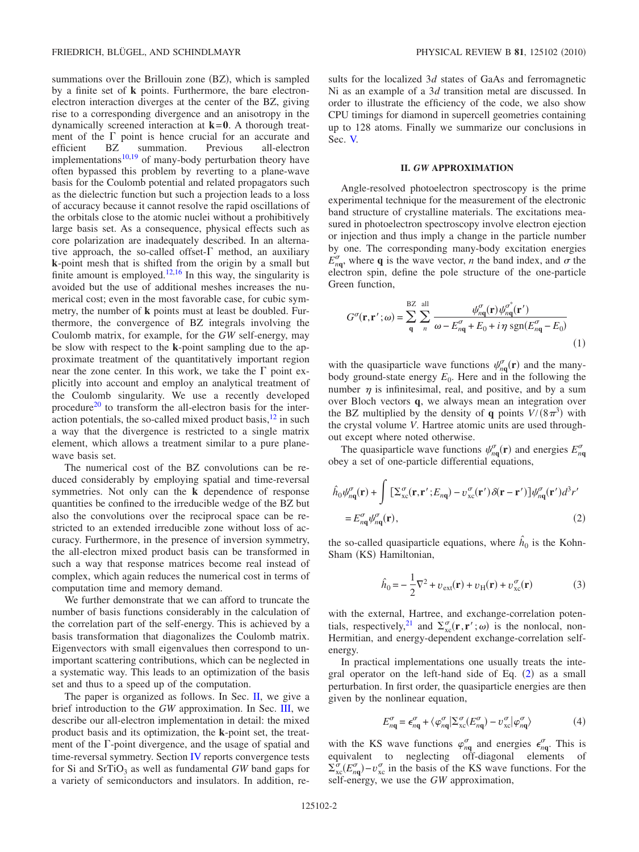summations over the Brillouin zone (BZ), which is sampled by a finite set of **k** points. Furthermore, the bare electronelectron interaction diverges at the center of the BZ, giving rise to a corresponding divergence and an anisotropy in the dynamically screened interaction at **k**=**0**. A thorough treatment of the  $\Gamma$  point is hence crucial for an accurate and efficient BZ summation. Previous all-electron efficient BZ summation. Previous all-electron implementations<sup>10,[19](#page-14-15)</sup> of many-body perturbation theory have often bypassed this problem by reverting to a plane-wave basis for the Coulomb potential and related propagators such as the dielectric function but such a projection leads to a loss of accuracy because it cannot resolve the rapid oscillations of the orbitals close to the atomic nuclei without a prohibitively large basis set. As a consequence, physical effects such as core polarization are inadequately described. In an alternative approach, the so-called offset- $\Gamma$  method, an auxiliary **k**-point mesh that is shifted from the origin by a small but finite amount is employed.<sup>12,[16](#page-14-16)</sup> In this way, the singularity is avoided but the use of additional meshes increases the numerical cost; even in the most favorable case, for cubic symmetry, the number of **k** points must at least be doubled. Furthermore, the convergence of BZ integrals involving the Coulomb matrix, for example, for the *GW* self-energy, may be slow with respect to the **k**-point sampling due to the approximate treatment of the quantitatively important region near the zone center. In this work, we take the  $\Gamma$  point explicitly into account and employ an analytical treatment of the Coulomb singularity. We use a recently developed procedure $^{20}$  to transform the all-electron basis for the interaction potentials, the so-called mixed product basis, $12$  in such a way that the divergence is restricted to a single matrix element, which allows a treatment similar to a pure planewave basis set.

The numerical cost of the BZ convolutions can be reduced considerably by employing spatial and time-reversal symmetries. Not only can the **k** dependence of response quantities be confined to the irreducible wedge of the BZ but also the convolutions over the reciprocal space can be restricted to an extended irreducible zone without loss of accuracy. Furthermore, in the presence of inversion symmetry, the all-electron mixed product basis can be transformed in such a way that response matrices become real instead of complex, which again reduces the numerical cost in terms of computation time and memory demand.

We further demonstrate that we can afford to truncate the number of basis functions considerably in the calculation of the correlation part of the self-energy. This is achieved by a basis transformation that diagonalizes the Coulomb matrix. Eigenvectors with small eigenvalues then correspond to unimportant scattering contributions, which can be neglected in a systematic way. This leads to an optimization of the basis set and thus to a speed up of the computation.

The paper is organized as follows. In Sec.  $II$ , we give a brief introduction to the *GW* approximation. In Sec. [III,](#page-2-0) we describe our all-electron implementation in detail: the mixed product basis and its optimization, the **k**-point set, the treatment of the  $\Gamma$ -point divergence, and the usage of spatial and time-reversal symmetry. Section [IV](#page-9-0) reports convergence tests for Si and  $SrTiO<sub>3</sub>$  as well as fundamental *GW* band gaps for a variety of semiconductors and insulators. In addition, results for the localized 3*d* states of GaAs and ferromagnetic Ni as an example of a 3*d* transition metal are discussed. In order to illustrate the efficiency of the code, we also show CPU timings for diamond in supercell geometries containing up to 128 atoms. Finally we summarize our conclusions in Sec. [V.](#page-13-0)

### **II.** *GW* **APPROXIMATION**

<span id="page-1-0"></span>Angle-resolved photoelectron spectroscopy is the prime experimental technique for the measurement of the electronic band structure of crystalline materials. The excitations measured in photoelectron spectroscopy involve electron ejection or injection and thus imply a change in the particle number by one. The corresponding many-body excitation energies  $E_{nq}^{\sigma}$ , where **q** is the wave vector, *n* the band index, and  $\sigma$  the electron spin, define the pole structure of the one-particle Green function,

<span id="page-1-2"></span>
$$
G^{\sigma}(\mathbf{r}, \mathbf{r}'; \omega) = \sum_{\mathbf{q}}^{\text{BZ all}} \sum_{n}^{\text{all}} \frac{\psi_{n\mathbf{q}}^{\sigma}(\mathbf{r}) \psi_{n\mathbf{q}}^{\sigma^*}(\mathbf{r}')}{\omega - E_{n\mathbf{q}}^{\sigma} + E_0 + i\eta \text{sgn}(E_{n\mathbf{q}}^{\sigma} - E_0)}
$$
(1)

with the quasiparticle wave functions  $\psi_{nq}^{\sigma}(\mathbf{r})$  and the manybody ground-state energy  $E_0$ . Here and in the following the number  $\eta$  is infinitesimal, real, and positive, and by a sum over Bloch vectors **q**, we always mean an integration over the BZ multiplied by the density of **q** points  $V/(8\pi^3)$  with the crystal volume *V*. Hartree atomic units are used throughout except where noted otherwise.

The quasiparticle wave functions  $\psi_{nq}^{\sigma}(\mathbf{r})$  and energies  $E_{nq}^{\sigma}$ obey a set of one-particle differential equations,

<span id="page-1-1"></span>
$$
\hat{h}_0 \psi_{nq}^{\sigma}(\mathbf{r}) + \int \left[ \Sigma_{xc}^{\sigma}(\mathbf{r}, \mathbf{r}'; E_{nq}) - v_{xc}^{\sigma}(\mathbf{r}') \delta(\mathbf{r} - \mathbf{r}') \right] \psi_{nq}^{\sigma}(\mathbf{r}') d^3 r'
$$
\n
$$
= E_{nq}^{\sigma} \psi_{nq}^{\sigma}(\mathbf{r}),
$$
\n(2)

the so-called quasiparticle equations, where  $\hat{h}_0$  is the Kohn-Sham (KS) Hamiltonian,

$$
\hat{h}_0 = -\frac{1}{2}\nabla^2 + v_{\text{ext}}(\mathbf{r}) + v_{\text{H}}(\mathbf{r}) + v_{\text{xc}}^{\sigma}(\mathbf{r})
$$
(3)

with the external, Hartree, and exchange-correlation potentials, respectively,<sup>21</sup> and  $\Sigma_{\text{xc}}^{\sigma}(\mathbf{r}, \mathbf{r}'; \omega)$  is the nonlocal, non-Hermitian, and energy-dependent exchange-correlation selfenergy.

In practical implementations one usually treats the inte-gral operator on the left-hand side of Eq. ([2](#page-1-1)) as a small perturbation. In first order, the quasiparticle energies are then given by the nonlinear equation,

$$
E_{nq}^{\sigma} = \epsilon_{nq}^{\sigma} + \langle \varphi_{nq}^{\sigma} | \Sigma_{\text{xc}}^{\sigma} (E_{nq}^{\sigma}) - \upsilon_{\text{xc}}^{\sigma} | \varphi_{nq}^{\sigma} \rangle \tag{4}
$$

<span id="page-1-3"></span>with the KS wave functions  $\varphi_{nq}^{\sigma}$  and energies  $\epsilon_{nq}^{\sigma}$ . This is equivalent to neglecting off-diagonal elements of  $\sum_{x \in C}^{\sigma} (E_{nq}^{\sigma}) - v_{xc}^{\sigma}$  in the basis of the KS wave functions. For the self-energy, we use the *GW* approximation,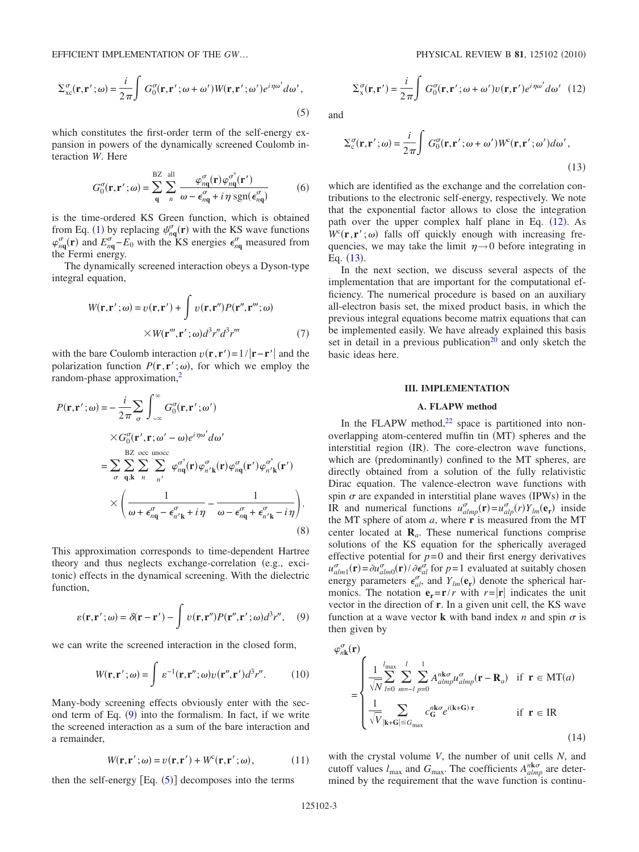<span id="page-2-2"></span>
$$
\Sigma_{xc}^{\sigma}(\mathbf{r}, \mathbf{r}'; \omega) = \frac{i}{2\pi} \int G_0^{\sigma}(\mathbf{r}, \mathbf{r}'; \omega + \omega') W(\mathbf{r}, \mathbf{r}'; \omega') e^{i\eta\omega'} d\omega',
$$
\n(5)

which constitutes the first-order term of the self-energy expansion in powers of the dynamically screened Coulomb interaction *W*. Here

$$
G_0^{\sigma}(\mathbf{r}, \mathbf{r}'; \omega) = \sum_{\mathbf{q}}^{\text{BZ all}} \sum_{n}^{\text{all}} \frac{\varphi_{n\mathbf{q}}^{\sigma}(\mathbf{r}) \varphi_{n\mathbf{q}}^{\sigma^*}(\mathbf{r}')}{\omega - \epsilon_{n\mathbf{q}}^{\sigma} + i\eta \text{ sgn}(\epsilon_{n\mathbf{q}}^{\sigma})}
$$
(6)

is the time-ordered KS Green function, which is obtained from Eq. ([1](#page-1-2)) by replacing  $\psi_{nq}^{\sigma}(\mathbf{r})$  with the KS wave functions  $\varphi_{nq}^{\sigma}(\mathbf{r})$  and  $E_{nq}^{\sigma} - E_0$  with the KS energies  $\epsilon_{nq}^{\sigma}$  measured from the Fermi energy.

The dynamically screened interaction obeys a Dyson-type integral equation,

$$
W(\mathbf{r}, \mathbf{r}'; \omega) = v(\mathbf{r}, \mathbf{r}') + \int v(\mathbf{r}, \mathbf{r}'') P(\mathbf{r}'', \mathbf{r}'''; \omega)
$$

$$
\times W(\mathbf{r}''', \mathbf{r}'; \omega) d^3 r'' d^3 r''' \tag{7}
$$

with the bare Coulomb interaction  $v(\mathbf{r}, \mathbf{r}') = 1/|\mathbf{r} - \mathbf{r}'|$  and the polarization function  $P(\mathbf{r}, \mathbf{r}'; \omega)$ , for which we employ the random-phase approximation,<sup>2</sup>

<span id="page-2-5"></span>
$$
P(\mathbf{r}, \mathbf{r}'; \omega) = -\frac{i}{2\pi} \sum_{\sigma} \int_{-\infty}^{\infty} G_0^{\sigma}(\mathbf{r}, \mathbf{r}'; \omega')
$$
  
\n
$$
\times G_0^{\sigma}(\mathbf{r}', \mathbf{r}; \omega' - \omega) e^{i\eta\omega'} d\omega'
$$
  
\n
$$
= \sum_{\sigma} \sum_{q,k} \sum_{n} \sum_{n'} \varphi_{nq}^{\sigma^*}(\mathbf{r}) \varphi_{n'k}^{\sigma}(\mathbf{r}) \varphi_{n'k}^{\sigma}(\mathbf{r}') \varphi_{n'k}^{\sigma^*}(\mathbf{r}')
$$
  
\n
$$
\times \left( \frac{1}{\omega + \epsilon_{nq}^{\sigma} - \epsilon_{n'k}^{\sigma} + i\eta} - \frac{1}{\omega - \epsilon_{nq}^{\sigma} + \epsilon_{n'k}^{\sigma} - i\eta} \right).
$$
\n(8)

This approximation corresponds to time-dependent Hartree theory and thus neglects exchange-correlation (e.g., excitonic) effects in the dynamical screening. With the dielectric function,

<span id="page-2-1"></span>
$$
\varepsilon(\mathbf{r}, \mathbf{r}'; \omega) = \delta(\mathbf{r} - \mathbf{r}') - \int v(\mathbf{r}, \mathbf{r}'') P(\mathbf{r}'', \mathbf{r}'; \omega) d^3 r'', \quad (9)
$$

<span id="page-2-6"></span>we can write the screened interaction in the closed form,

$$
W(\mathbf{r}, \mathbf{r}'; \omega) = \int \varepsilon^{-1}(\mathbf{r}, \mathbf{r}''; \omega) v(\mathbf{r}''', \mathbf{r}') d^3 r''.
$$
 (10)

Many-body screening effects obviously enter with the sec-ond term of Eq. ([9](#page-2-1)) into the formalism. In fact, if we write the screened interaction as a sum of the bare interaction and a remainder,

$$
W(\mathbf{r}, \mathbf{r}'; \omega) = v(\mathbf{r}, \mathbf{r}') + W^{c}(\mathbf{r}, \mathbf{r}'; \omega), \tag{11}
$$

then the self-energy  $[Eq. (5)]$  $[Eq. (5)]$  $[Eq. (5)]$  decomposes into the terms

<span id="page-2-3"></span>
$$
\Sigma_x^{\sigma}(\mathbf{r}, \mathbf{r}') = \frac{i}{2\pi} \int G_0^{\sigma}(\mathbf{r}, \mathbf{r}'; \omega + \omega') v(\mathbf{r}, \mathbf{r}') e^{i\eta \omega'} d\omega' \tag{12}
$$

and

<span id="page-2-4"></span>
$$
\Sigma_{c}^{\sigma}(\mathbf{r}, \mathbf{r}'; \omega) = \frac{i}{2\pi} \int G_{0}^{\sigma}(\mathbf{r}, \mathbf{r}'; \omega + \omega') W^{c}(\mathbf{r}, \mathbf{r}'; \omega') d\omega',
$$
\n(13)

which are identified as the exchange and the correlation contributions to the electronic self-energy, respectively. We note that the exponential factor allows to close the integration path over the upper complex half plane in Eq.  $(12)$  $(12)$  $(12)$ . As  $W$ <sup>c</sup>(**r**,**r**'; $\omega$ ) falls off quickly enough with increasing frequencies, we may take the limit  $\eta \rightarrow 0$  before integrating in Eq.  $(13)$  $(13)$  $(13)$ .

In the next section, we discuss several aspects of the implementation that are important for the computational efficiency. The numerical procedure is based on an auxiliary all-electron basis set, the mixed product basis, in which the previous integral equations become matrix equations that can be implemented easily. We have already explained this basis set in detail in a previous publication<sup>20</sup> and only sketch the basic ideas here.

## **III. IMPLEMENTATION**

# **A. FLAPW method**

<span id="page-2-0"></span>In the FLAPW method, $22$  space is partitioned into nonoverlapping atom-centered muffin tin (MT) spheres and the interstitial region (IR). The core-electron wave functions, which are (predominantly) confined to the MT spheres, are directly obtained from a solution of the fully relativistic Dirac equation. The valence-electron wave functions with spin  $\sigma$  are expanded in interstitial plane waves (IPWs) in the IR and numerical functions  $u_{\text{almp}}^{\sigma}(\mathbf{r}) = u_{\text{alp}}^{\sigma}(r) Y_{\text{lm}}(\mathbf{e_r})$  inside the MT sphere of atom *a*, where **r** is measured from the MT center located at **R***a*. These numerical functions comprise solutions of the KS equation for the spherically averaged effective potential for  $p=0$  and their first energy derivatives  $u_{alm1}^{\sigma}(\mathbf{r}) = \partial u_{alm0}^{\sigma}(\mathbf{r}) / \partial \epsilon_{al}^{\sigma}$  for *p*=1 evaluated at suitably chosen energy parameters  $\epsilon_{al}^{\sigma}$ , and  $Y_{lm}(\mathbf{e_r})$  denote the spherical harmonics. The notation  $\mathbf{e}_r = \mathbf{r}/r$  with  $r = |\mathbf{r}|$  indicates the unit vector in the direction of **r**. In a given unit cell, the KS wave function at a wave vector **k** with band index *n* and spin  $\sigma$  is then given by

<span id="page-2-7"></span>
$$
\varphi_{n\mathbf{k}}^{\sigma}(\mathbf{r}) = \begin{cases}\n\frac{1}{\sqrt{N}} \sum_{l=0}^{l_{\text{max}}} \sum_{m=-l}^{l} \sum_{p=0}^{1} A_{almp}^{n\mathbf{k}\sigma} u_{almp}^{\sigma}(\mathbf{r} - \mathbf{R}_{a}) & \text{if } \mathbf{r} \in \text{MT}(a) \\
\frac{1}{\sqrt{V}} \sum_{|\mathbf{k}+\mathbf{G}| \leq G_{\text{max}}} c_{\mathbf{G}}^{n\mathbf{k}\sigma} e^{i(\mathbf{k}+\mathbf{G})\cdot \mathbf{r}} & \text{if } \mathbf{r} \in \text{IR}\n\end{cases}
$$
\n(14)

with the crystal volume *V*, the number of unit cells *N*, and cutoff values  $l_{\text{max}}$  and  $G_{\text{max}}$ . The coefficients  $A_{\text{almp}}^{\text{nk}\sigma}$  are determined by the requirement that the wave function is continu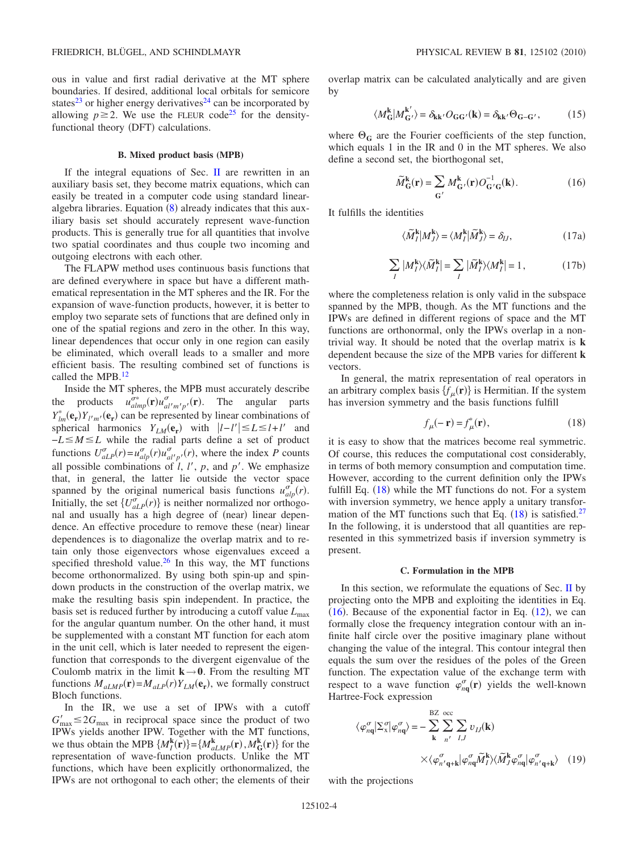ous in value and first radial derivative at the MT sphere boundaries. If desired, additional local orbitals for semicore states<sup>23</sup> or higher energy derivatives<sup>24</sup> can be incorporated by allowing  $p \geq 2$ . We use the FLEUR code<sup>25</sup> for the densityfunctional theory (DFT) calculations.

#### **B. Mixed product basis (MPB)**

<span id="page-3-2"></span>If the integral equations of Sec.  $II$  are rewritten in an auxiliary basis set, they become matrix equations, which can easily be treated in a computer code using standard linearalgebra libraries. Equation  $(8)$  $(8)$  $(8)$  already indicates that this auxiliary basis set should accurately represent wave-function products. This is generally true for all quantities that involve two spatial coordinates and thus couple two incoming and outgoing electrons with each other.

The FLAPW method uses continuous basis functions that are defined everywhere in space but have a different mathematical representation in the MT spheres and the IR. For the expansion of wave-function products, however, it is better to employ two separate sets of functions that are defined only in one of the spatial regions and zero in the other. In this way, linear dependences that occur only in one region can easily be eliminated, which overall leads to a smaller and more efficient basis. The resulting combined set of functions is called the MPB[.12](#page-14-10)

Inside the MT spheres, the MPB must accurately describe the products  $u_{almp}^{\sigma*}(\mathbf{r})u_{al'm'p'}^{\sigma}(\mathbf{r})$ . The angular parts  $Y_{lm}^*(\mathbf{e}_r) Y_{l'm'}(\mathbf{e}_r)$  can be represented by linear combinations of spherical harmonics  $Y_{LM}(\mathbf{e_r})$  with  $|l-l'| \le L \le l+l'$  and −*LM L* while the radial parts define a set of product functions  $U_{aLP}^{\sigma}(r) = u_{alp}^{\sigma}(r)u_{a_l^{\sigma}}^{\sigma}(r)$ , where the index *P* counts all possible combinations of  $\iota$ ,  $\iota$ ,  $\iota$ ,  $\iota$ ,  $\iota$ ,  $\iota$ ,  $\iota$ ,  $\iota$ ,  $\iota$ ,  $\iota$ ,  $\iota$ ,  $\iota$ ,  $\iota$ ,  $\iota$ ,  $\iota$ ,  $\iota$ ,  $\iota$ ,  $\iota$ ,  $\iota$ ,  $\iota$ ,  $\iota$ ,  $\iota$ ,  $\iota$ ,  $\iota$ ,  $\iota$ ,  $\iota$ ,  $\iota$ ,  $\i$ that, in general, the latter lie outside the vector space spanned by the original numerical basis functions  $u_{\alpha l p}^{\sigma}(r)$ . Initially, the set  $\{U_{aLP}^{\sigma}(r)\}\)$  is neither normalized nor orthogonal and usually has a high degree of (near) linear dependence. An effective procedure to remove these (near) linear dependences is to diagonalize the overlap matrix and to retain only those eigenvectors whose eigenvalues exceed a specified threshold value.<sup>26</sup> In this way, the MT functions become orthonormalized. By using both spin-up and spindown products in the construction of the overlap matrix, we make the resulting basis spin independent. In practice, the basis set is reduced further by introducing a cutoff value  $L_{\text{max}}$ for the angular quantum number. On the other hand, it must be supplemented with a constant MT function for each atom in the unit cell, which is later needed to represent the eigenfunction that corresponds to the divergent eigenvalue of the Coulomb matrix in the limit  $k \rightarrow 0$ . From the resulting MT functions  $M_{aLMP}(\mathbf{r}) = M_{aLP}(r)Y_{LM}(\mathbf{e_r})$ , we formally construct Bloch functions.

In the IR, we use a set of IPWs with a cutoff  $G'_{\text{max}} \leq 2G_{\text{max}}$  in reciprocal space since the product of two IPWs yields another IPW. Together with the MT functions, we thus obtain the MPB  $\{M_I^k(\mathbf{r})\} = \{M_{aLMP}^k(\mathbf{r}), M_G^k(\mathbf{r})\}$  for the representation of wave-function products. Unlike the MT functions, which have been explicitly orthonormalized, the IPWs are not orthogonal to each other; the elements of their overlap matrix can be calculated analytically and are given by

$$
\langle M_{\mathbf{G}}^{\mathbf{k}} | M_{\mathbf{G}}^{\mathbf{k'}} \rangle = \delta_{\mathbf{k}\mathbf{k'}} O_{\mathbf{G}\mathbf{G'}}(\mathbf{k}) = \delta_{\mathbf{k}\mathbf{k'}} \Theta_{\mathbf{G} - \mathbf{G'}} ,\qquad (15)
$$

where  $\Theta_G$  are the Fourier coefficients of the step function, which equals 1 in the IR and 0 in the MT spheres. We also define a second set, the biorthogonal set,

$$
\widetilde{M}_{\mathbf{G}}^{\mathbf{k}}(\mathbf{r}) = \sum_{\mathbf{G}'} M_{\mathbf{G}'}^{\mathbf{k}}(\mathbf{r}) O_{\mathbf{G}'}^{-1}(\mathbf{k}).
$$
\n(16)

<span id="page-3-1"></span>It fulfills the identities

$$
\langle \widetilde{M}_I^{\mathbf{k}} | M_J^{\mathbf{k}} \rangle = \langle M_I^{\mathbf{k}} | \widetilde{M}_J^{\mathbf{k}} \rangle = \delta_{IJ},\tag{17a}
$$

$$
\sum_{I} |M_{I}^{k}\rangle\langle\widetilde{M}_{I}^{k}| = \sum_{I} |\widetilde{M}_{I}^{k}\rangle\langle M_{I}^{k}| = 1, \qquad (17b)
$$

where the completeness relation is only valid in the subspace spanned by the MPB, though. As the MT functions and the IPWs are defined in different regions of space and the MT functions are orthonormal, only the IPWs overlap in a nontrivial way. It should be noted that the overlap matrix is **k** dependent because the size of the MPB varies for different **k** vectors.

In general, the matrix representation of real operators in an arbitrary complex basis  $\{f_{\mu}(\mathbf{r})\}$  is Hermitian. If the system has inversion symmetry and the basis functions fulfill

$$
f_{\mu}(-\mathbf{r}) = f_{\mu}^*(\mathbf{r}),\tag{18}
$$

<span id="page-3-0"></span>it is easy to show that the matrices become real symmetric. Of course, this reduces the computational cost considerably, in terms of both memory consumption and computation time. However, according to the current definition only the IPWs fulfill Eq.  $(18)$  $(18)$  $(18)$  while the MT functions do not. For a system with inversion symmetry, we hence apply a unitary transformation of the MT functions such that Eq.  $(18)$  $(18)$  $(18)$  is satisfied.<sup>[27](#page-14-24)</sup> In the following, it is understood that all quantities are represented in this symmetrized basis if inversion symmetry is present.

## **C. Formulation in the MPB**

<span id="page-3-4"></span>In this section, we reformulate the equations of Sec.  $\mathbf I$  by projecting onto the MPB and exploiting the identities in Eq.  $(16)$  $(16)$  $(16)$ . Because of the exponential factor in Eq.  $(12)$  $(12)$  $(12)$ , we can formally close the frequency integration contour with an infinite half circle over the positive imaginary plane without changing the value of the integral. This contour integral then equals the sum over the residues of the poles of the Green function. The expectation value of the exchange term with respect to a wave function  $\varphi_{nq}^{\sigma}(\mathbf{r})$  yields the well-known Hartree-Fock expression

<span id="page-3-3"></span>
$$
\langle \varphi_{n\mathbf{q}}^{\sigma} | \Sigma_{\mathbf{x}}^{\sigma} | \varphi_{n\mathbf{q}}^{\sigma} \rangle = - \sum_{\mathbf{k}} \sum_{n'} \sum_{I,J} v_{IJ}(\mathbf{k})
$$

$$
\times \langle \varphi_{n'\mathbf{q}+\mathbf{k}}^{\sigma} | \varphi_{n\mathbf{q}}^{\sigma} \widetilde{M}_{I}^{\mathbf{k}} \rangle \langle \widetilde{M}_{J}^{\mathbf{k}} \varphi_{n\mathbf{q}}^{\sigma} | \varphi_{n'\mathbf{q}+\mathbf{k}}^{\sigma} \rangle \quad (19)
$$

with the projections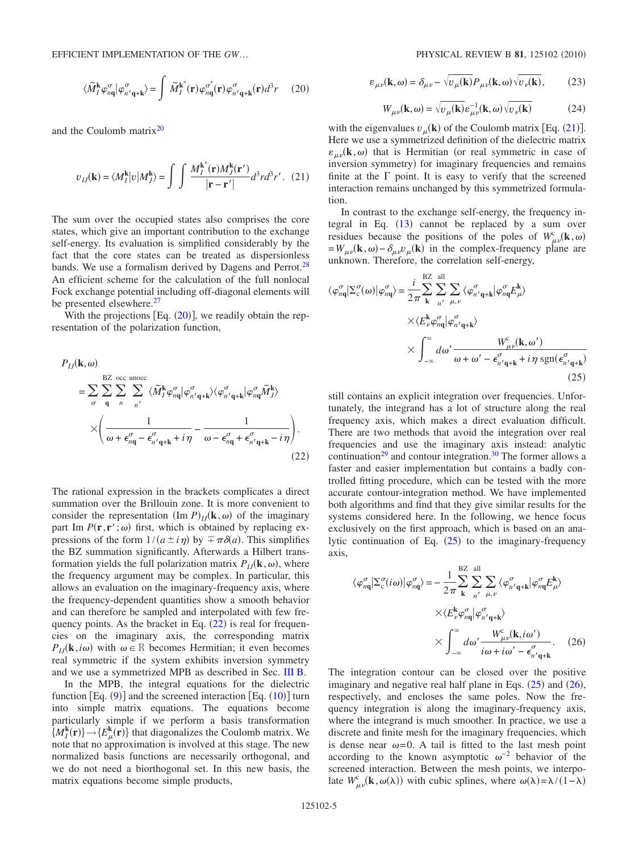<span id="page-4-0"></span>
$$
\langle \widetilde{M}_{I}^{\mathbf{k}} \varphi_{n\mathbf{q}}^{\sigma} | \varphi_{n'\mathbf{q}+\mathbf{k}}^{\sigma} \rangle = \int \widetilde{M}_{I}^{\mathbf{k}^{*}}(\mathbf{r}) \varphi_{n\mathbf{q}}^{\sigma^{*}}(\mathbf{r}) \varphi_{n'\mathbf{q}+\mathbf{k}}^{\sigma}(\mathbf{r}) d^{3} r \qquad (20)
$$

and the Coulomb matrix $^{20}$ 

<span id="page-4-2"></span>
$$
v_{IJ}(\mathbf{k}) = \langle M_I^{\mathbf{k}} | v | M_J^{\mathbf{k}} \rangle = \int \int \frac{M_I^{\mathbf{k}^*}(\mathbf{r}) M_J^{\mathbf{k}}(\mathbf{r}')}{|\mathbf{r} - \mathbf{r}'|} d^3 r d^3 r' . \tag{21}
$$

The sum over the occupied states also comprises the core states, which give an important contribution to the exchange self-energy. Its evaluation is simplified considerably by the fact that the core states can be treated as dispersionless bands. We use a formalism derived by Dagens and Perrot.<sup>28</sup> An efficient scheme for the calculation of the full nonlocal Fock exchange potential including off-diagonal elements will be presented elsewhere.<sup>27</sup>

With the projections  $[Eq. (20)]$  $[Eq. (20)]$  $[Eq. (20)]$ , we readily obtain the representation of the polarization function,

<span id="page-4-1"></span>
$$
P_{IJ}(\mathbf{k}, \omega)
$$
  
\n
$$
= \sum_{\sigma} \sum_{\mathbf{q}} \sum_{n} \sum_{n'} \langle \tilde{M}_{I}^{\mathbf{k}} \varphi_{n\mathbf{q}}^{\sigma} | \varphi_{n'\mathbf{q}+\mathbf{k}}^{\sigma} \rangle \langle \varphi_{n'\mathbf{q}+\mathbf{k}}^{\sigma} | \varphi_{n\mathbf{q}}^{\sigma} \tilde{M}_{J}^{\mathbf{k}} \rangle
$$
  
\n
$$
\times \left( \frac{1}{\omega + \epsilon_{n\mathbf{q}}^{\sigma} - \epsilon_{n'\mathbf{q}+\mathbf{k}}^{\sigma} + i\eta} - \frac{1}{\omega - \epsilon_{n\mathbf{q}}^{\sigma} + \epsilon_{n'\mathbf{q}+\mathbf{k}}^{\sigma} - i\eta} \right).
$$
\n(22)

The rational expression in the brackets complicates a direct summation over the Brillouin zone. It is more convenient to consider the representation  $(\text{Im } P)_{IJ}(\mathbf{k}, \omega)$  of the imaginary part Im  $P(\mathbf{r}, \mathbf{r}'; \omega)$  first, which is obtained by replacing expressions of the form  $1/(a \pm i\eta)$  by  $\mp \pi \delta(a)$ . This simplifies the BZ summation significantly. Afterwards a Hilbert transformation yields the full polarization matrix  $P_{IJ}(\mathbf{k}, \omega)$ , where the frequency argument may be complex. In particular, this allows an evaluation on the imaginary-frequency axis, where the frequency-dependent quantities show a smooth behavior and can therefore be sampled and interpolated with few frequency points. As the bracket in Eq.  $(22)$  $(22)$  $(22)$  is real for frequencies on the imaginary axis, the corresponding matrix  $P_{IJ}$ **(k**,*i* $\omega$ ) with  $\omega \in \mathbb{R}$  becomes Hermitian; it even becomes real symmetric if the system exhibits inversion symmetry and we use a symmetrized MPB as described in Sec. [III B.](#page-3-2)

In the MPB, the integral equations for the dielectric function  $[Eq. (9)]$  $[Eq. (9)]$  $[Eq. (9)]$  and the screened interaction  $[Eq. (10)]$  $[Eq. (10)]$  $[Eq. (10)]$  turn into simple matrix equations. The equations become particularly simple if we perform a basis transformation  $\{M_I^{\mathbf{k}}(\mathbf{r})\} \rightarrow \{E_{\mu}^{\mathbf{k}}(\mathbf{r})\}$  that diagonalizes the Coulomb matrix. We note that no approximation is involved at this stage. The new normalized basis functions are necessarily orthogonal, and we do not need a biorthogonal set. In this new basis, the matrix equations become simple products,

<span id="page-4-5"></span>
$$
\varepsilon_{\mu\nu}(\mathbf{k},\omega) = \delta_{\mu\nu} - \sqrt{v_{\mu}(\mathbf{k})} P_{\mu\nu}(\mathbf{k},\omega) \sqrt{v_{\nu}(\mathbf{k})},\qquad(23)
$$

$$
W_{\mu\nu}(\mathbf{k},\omega) = \sqrt{\nu_{\mu}(\mathbf{k})} \varepsilon_{\mu\nu}^{-1}(\mathbf{k},\omega) \sqrt{\nu_{\nu}(\mathbf{k})}
$$
(24)

<span id="page-4-6"></span>with the eigenvalues  $v_{\mu}(\mathbf{k})$  of the Coulomb matrix [Eq. ([21](#page-4-2))]. Here we use a symmetrized definition of the dielectric matrix  $\varepsilon_{\mu\nu}(\mathbf{k}, \omega)$  that is Hermitian (or real symmetric in case of inversion symmetry) for imaginary frequencies and remains finite at the  $\Gamma$  point. It is easy to verify that the screened interaction remains unchanged by this symmetrized formulation.

In contrast to the exchange self-energy, the frequency integral in Eq.  $(13)$  $(13)$  $(13)$  cannot be replaced by a sum over residues because the positions of the poles of  $W_{\mu\nu}^c(\mathbf{k}, \omega)$  $= W_{\mu\nu}(\mathbf{k}, \omega) - \delta_{\mu\nu} v_{\mu}(\mathbf{k})$  in the complex-frequency plane are unknown. Therefore, the correlation self-energy,

<span id="page-4-3"></span>
$$
\langle \varphi_{n\mathbf{q}}^{\sigma} | \Sigma_{c}^{\sigma}(\omega) | \varphi_{n\mathbf{q}}^{\sigma} \rangle = \frac{i}{2\pi} \sum_{\mathbf{k}}^{\text{BZ}} \sum_{n'}^{\text{all}} \sum_{\mu,\nu} \langle \varphi_{n'\mathbf{q}+\mathbf{k}}^{\sigma} | \varphi_{n\mathbf{q}}^{\sigma} E_{\mu}^{\mathbf{k}} \rangle
$$
  
 
$$
\times \langle E_{\nu}^{\mathbf{k}} \varphi_{n\mathbf{q}}^{\sigma} | \varphi_{n'\mathbf{q}+\mathbf{k}}^{\sigma} \rangle
$$
  
 
$$
\times \int_{-\infty}^{\infty} d\omega' \frac{W_{\mu\nu}^{\mathbf{c}}(\mathbf{k}, \omega')}{\omega + \omega' - \epsilon_{n'\mathbf{q}+\mathbf{k}}^{\sigma} + i\eta \text{sgn}(\epsilon_{n'\mathbf{q}+\mathbf{k}}^{\sigma})}
$$
(25)

still contains an explicit integration over frequencies. Unfortunately, the integrand has a lot of structure along the real frequency axis, which makes a direct evaluation difficult. There are two methods that avoid the integration over real frequencies and use the imaginary axis instead: analytic continuation<sup>29</sup> and contour integration.<sup>30</sup> The former allows a faster and easier implementation but contains a badly controlled fitting procedure, which can be tested with the more accurate contour-integration method. We have implemented both algorithms and find that they give similar results for the systems considered here. In the following, we hence focus exclusively on the first approach, which is based on an analytic continuation of Eq.  $(25)$  $(25)$  $(25)$  to the imaginary-frequency axis,

<span id="page-4-4"></span>
$$
\langle \varphi_{n\mathbf{q}}^{\sigma} | \Sigma_{c}^{\sigma} (i\omega) | \varphi_{n\mathbf{q}}^{\sigma} \rangle = -\frac{1}{2\pi} \sum_{\mathbf{k}}^{\text{BZ}} \sum_{n'}^{\text{all}} \sum_{\mu,\nu} \langle \varphi_{n'\mathbf{q}+\mathbf{k}}^{\sigma} | \varphi_{n\mathbf{q}}^{\sigma} E_{\mu}^{\mathbf{k}} \rangle
$$

$$
\times \langle E_{\nu}^{\mathbf{k}} \varphi_{n\mathbf{q}}^{\sigma} | \varphi_{n'\mathbf{q}+\mathbf{k}}^{\sigma} \rangle
$$

$$
\times \int_{-\infty}^{\infty} d\omega' \frac{W_{\mu\nu}^{\text{c}}(\mathbf{k}, i\omega')}{i\omega + i\omega' - \epsilon_{n'\mathbf{q}+\mathbf{k}}^{\sigma}}. \quad (26)
$$

The integration contour can be closed over the positive imaginary and negative real half plane in Eqs.  $(25)$  $(25)$  $(25)$  and  $(26)$  $(26)$  $(26)$ , respectively, and encloses the same poles. Now the frequency integration is along the imaginary-frequency axis, where the integrand is much smoother. In practice, we use a discrete and finite mesh for the imaginary frequencies, which is dense near  $\omega = 0$ . A tail is fitted to the last mesh point according to the known asymptotic  $\omega^{-2}$  behavior of the screened interaction. Between the mesh points, we interpolate  $W^c_{\mu\nu}(\mathbf{k}, \omega(\lambda))$  with cubic splines, where  $\omega(\lambda) = \lambda/(1-\lambda)$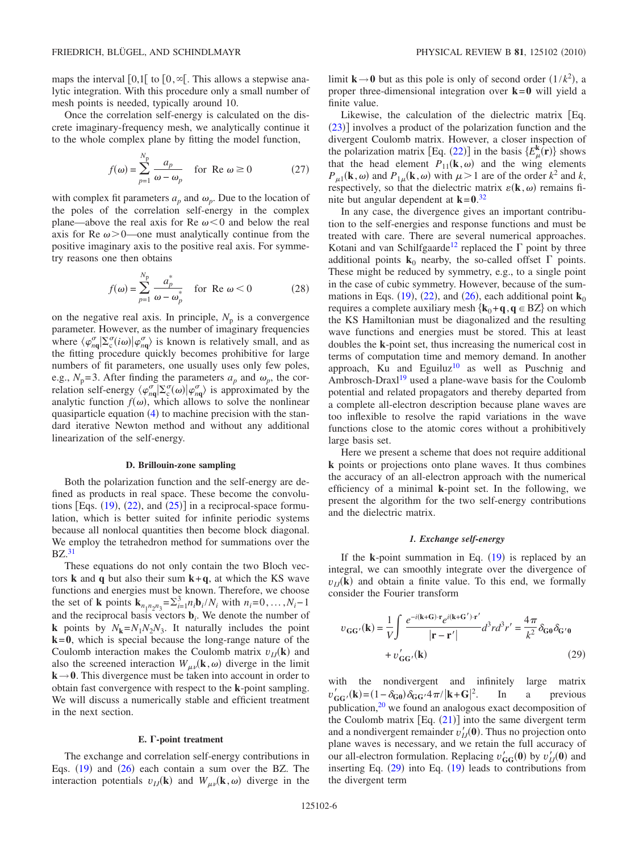maps the interval [0,1] to  $[0, \infty]$ . This allows a stepwise analytic integration. With this procedure only a small number of mesh points is needed, typically around 10.

<span id="page-5-2"></span>Once the correlation self-energy is calculated on the discrete imaginary-frequency mesh, we analytically continue it to the whole complex plane by fitting the model function,

$$
f(\omega) = \sum_{p=1}^{N_p} \frac{a_p}{\omega - \omega_p} \quad \text{for } \text{Re } \omega \ge 0 \tag{27}
$$

with complex fit parameters  $a_p$  and  $\omega_p$ . Due to the location of the poles of the correlation self-energy in the complex plane—above the real axis for Re  $\omega < 0$  and below the real axis for Re  $\omega > 0$ —one must analytically continue from the positive imaginary axis to the positive real axis. For symmetry reasons one then obtains

$$
f(\omega) = \sum_{p=1}^{N_p} \frac{a_p^*}{\omega - \omega_p^*} \quad \text{for } \text{Re } \omega < 0 \tag{28}
$$

on the negative real axis. In principle,  $N_p$  is a convergence parameter. However, as the number of imaginary frequencies where  $\langle \varphi_{nq}^{\sigma} | \Sigma_{c}^{\sigma} (i\omega) | \varphi_{nq}^{\sigma} \rangle$  is known is relatively small, and as the fitting procedure quickly becomes prohibitive for large numbers of fit parameters, one usually uses only few poles, e.g.,  $N_p=3$ . After finding the parameters  $a_p$  and  $\omega_p$ , the correlation self-energy  $\langle \varphi_{nq}^{\sigma} | \Sigma_{c}^{\sigma}(\omega) | \varphi_{nq}^{\sigma} \rangle$  is approximated by the analytic function  $f(\omega)$ , which allows to solve the nonlinear quasiparticle equation ([4](#page-1-3)) to machine precision with the standard iterative Newton method and without any additional linearization of the self-energy.

## **D. Brillouin-zone sampling**

Both the polarization function and the self-energy are defined as products in real space. These become the convolutions [Eqs.  $(19)$  $(19)$  $(19)$ ,  $(22)$  $(22)$  $(22)$ , and  $(25)$  $(25)$  $(25)$ ] in a reciprocal-space formulation, which is better suited for infinite periodic systems because all nonlocal quantities then become block diagonal. We employ the tetrahedron method for summations over the  $BZ.<sup>31</sup>$  $BZ.<sup>31</sup>$  $BZ.<sup>31</sup>$ 

These equations do not only contain the two Bloch vectors **k** and **q** but also their sum **k**+**q**, at which the KS wave functions and energies must be known. Therefore, we choose the set of **k** points  $\mathbf{k}_{n_1 n_2 n_3} = \sum_{i=1}^3 n_i \mathbf{b}_i / N_i$  with  $n_i = 0, ..., N_i - 1$ and the reciprocal basis vectors  $\mathbf{b}_i$ . We denote the number of **k** points by  $N_k = N_1 N_2 N_3$ . It naturally includes the point **k**=**0**, which is special because the long-range nature of the Coulomb interaction makes the Coulomb matrix  $v_{IJ}(\mathbf{k})$  and also the screened interaction  $W_{\mu\nu}(\mathbf{k}, \omega)$  diverge in the limit  $k \rightarrow 0$ . This divergence must be taken into account in order to obtain fast convergence with respect to the **k**-point sampling. We will discuss a numerically stable and efficient treatment in the next section.

### **E. -point treatment**

The exchange and correlation self-energy contributions in Eqs.  $(19)$  $(19)$  $(19)$  and  $(26)$  $(26)$  $(26)$  each contain a sum over the BZ. The interaction potentials  $v_{IJ}(\mathbf{k})$  and  $W_{\mu\nu}(\mathbf{k}, \omega)$  diverge in the

limit **k**  $\rightarrow$  **0** but as this pole is only of second order  $(1/k^2)$ , a proper three-dimensional integration over **k**=**0** will yield a finite value.

Likewise, the calculation of the dielectric matrix [Eq.  $(23)$  $(23)$  $(23)$ ] involves a product of the polarization function and the divergent Coulomb matrix. However, a closer inspection of the polarization matrix [Eq. ([22](#page-4-1))] in the basis  $\{E_{\mu}^{\mathbf{k}}(\mathbf{r})\}$  shows that the head element  $P_{11}(\mathbf{k}, \omega)$  and the wing elements  $P_{\mu 1}(\mathbf{k}, \omega)$  and  $P_{1\mu}(\mathbf{k}, \omega)$  with  $\mu > 1$  are of the order  $k^2$  and *k*, respectively, so that the dielectric matrix  $\varepsilon(\mathbf{k}, \omega)$  remains finite but angular dependent at  $k = 0.32$  $k = 0.32$ 

In any case, the divergence gives an important contribution to the self-energies and response functions and must be treated with care. There are several numerical approaches. Kotani and van Schilfgaarde<sup>12</sup> replaced the  $\Gamma$  point by three additional points  $\mathbf{k}_0$  nearby, the so-called offset  $\Gamma$  points. These might be reduced by symmetry, e.g., to a single point in the case of cubic symmetry. However, because of the summations in Eqs.  $(19)$  $(19)$  $(19)$ ,  $(22)$  $(22)$  $(22)$ , and  $(26)$  $(26)$  $(26)$ , each additional point  $\mathbf{k}_0$ requires a complete auxiliary mesh  $\{k_0 + q, q \in BZ\}$  on which the KS Hamiltonian must be diagonalized and the resulting wave functions and energies must be stored. This at least doubles the **k**-point set, thus increasing the numerical cost in terms of computation time and memory demand. In another approach, Ku and Eguiluz<sup>10</sup> as well as Puschnig and Ambrosch-Draxl<sup>19</sup> used a plane-wave basis for the Coulomb potential and related propagators and thereby departed from a complete all-electron description because plane waves are too inflexible to resolve the rapid variations in the wave functions close to the atomic cores without a prohibitively large basis set.

Here we present a scheme that does not require additional **k** points or projections onto plane waves. It thus combines the accuracy of an all-electron approach with the numerical efficiency of a minimal **k**-point set. In the following, we present the algorithm for the two self-energy contributions and the dielectric matrix.

## *1. Exchange self-energy*

<span id="page-5-1"></span>If the  $k$ -point summation in Eq.  $(19)$  $(19)$  $(19)$  is replaced by an integral, we can smoothly integrate over the divergence of  $v_{IJ}$ **(k)** and obtain a finite value. To this end, we formally consider the Fourier transform

<span id="page-5-0"></span>
$$
v_{GG'}(\mathbf{k}) = \frac{1}{V} \int \frac{e^{-i(\mathbf{k} + \mathbf{G}) \cdot \mathbf{r}} e^{i(\mathbf{k} + \mathbf{G}') \cdot \mathbf{r}'}}{|\mathbf{r} - \mathbf{r}'|} d^3 r d^3 r' = \frac{4\pi}{k^2} \delta_{G0} \delta_{G'0}
$$
  
+  $v'_{GG'}(\mathbf{k})$  (29)

with the nondivergent and infinitely large matrix  $v'_{GG'}(\mathbf{k}) = (1 - \delta_{G0}) \delta_{GG'} 4 \pi / |\mathbf{k} + \mathbf{G}|^2$ . In a previous publication,<sup>20</sup> we found an analogous exact decomposition of the Coulomb matrix  $[Eq. (21)]$  $[Eq. (21)]$  $[Eq. (21)]$  into the same divergent term and a nondivergent remainder  $v'_{IJ}(\mathbf{0})$ . Thus no projection onto plane waves is necessary, and we retain the full accuracy of our all-electron formulation. Replacing  $v'_{GG}(0)$  by  $v'_{IJ}(0)$  and inserting Eq.  $(29)$  $(29)$  $(29)$  into Eq.  $(19)$  $(19)$  $(19)$  leads to contributions from the divergent term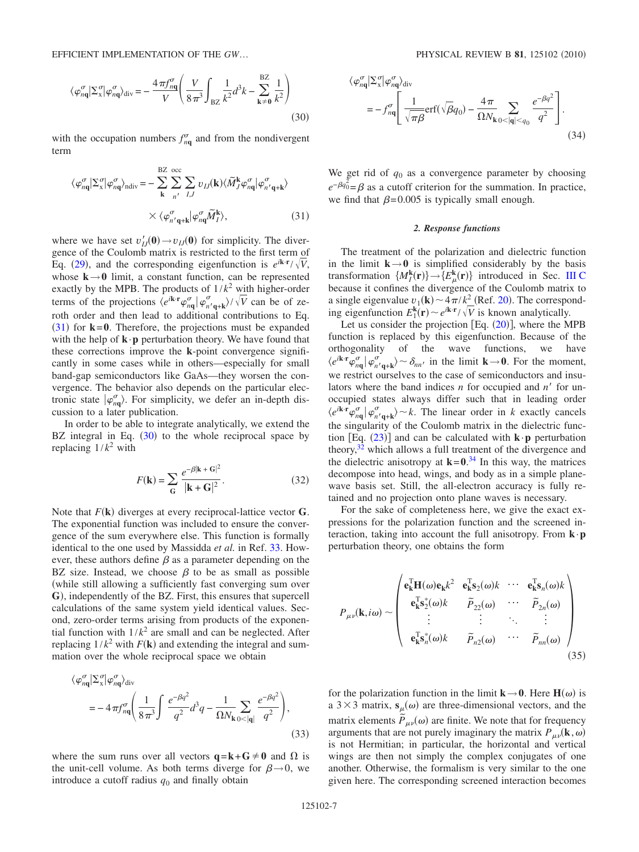<span id="page-6-1"></span>
$$
\langle \varphi_{n\mathbf{q}}^{\sigma} | \Sigma_{\mathbf{x}}^{\sigma} | \varphi_{n\mathbf{q}}^{\sigma} \rangle_{\text{div}} = -\frac{4\pi f_{n\mathbf{q}}^{\sigma}}{V} \left( \frac{V}{8\pi^3} \int_{\text{BZ}} \frac{1}{k^2} d^3 k - \sum_{\mathbf{k}\neq\mathbf{0}}^{\text{BZ}} \frac{1}{k^2} \right)
$$
(30)

with the occupation numbers  $f_{nq}^{\sigma}$  and from the nondivergent term

<span id="page-6-0"></span>
$$
\langle \varphi_{n\mathbf{q}}^{\sigma} | \Sigma_{\mathbf{x}}^{\sigma} | \varphi_{n\mathbf{q}}^{\sigma} \rangle_{\text{ndiv}} = -\sum_{\mathbf{k}} \sum_{n'} \sum_{I,J} \upsilon_{IJ}(\mathbf{k}) \langle \widetilde{M}_{J}^{\mathbf{k}} \varphi_{n\mathbf{q}}^{\sigma} | \varphi_{n'\mathbf{q}+\mathbf{k}}^{\sigma} \rangle
$$

$$
\times \langle \varphi_{n'\mathbf{q}+\mathbf{k}}^{\sigma} | \varphi_{n\mathbf{q}}^{\sigma} \widetilde{M}_{I}^{\mathbf{k}} \rangle, \tag{31}
$$

where we have set  $v'_{IJ}(\mathbf{0}) \rightarrow v_{IJ}(\mathbf{0})$  for simplicity. The divergence of the Coulomb matrix is restricted to the first term of Eq. ([29](#page-5-0)), and the corresponding eigenfunction is  $e^{i\mathbf{k}\cdot\mathbf{r}}/\sqrt{V}$ , whose  $k \rightarrow 0$  limit, a constant function, can be represented exactly by the MPB. The products of  $1/k^2$  with higher-order terms of the projections  $\langle e^{i\mathbf{k}\cdot\mathbf{r}} \varphi_{n\mathbf{q}}^{\sigma} | \varphi_{n'\mathbf{q}+\mathbf{k}}^{\sigma} \rangle / \sqrt{V}$  can be of zeroth order and then lead to additional contributions to Eq.  $(31)$  $(31)$  $(31)$  for  $k=0$ . Therefore, the projections must be expanded with the help of  $\mathbf{k} \cdot \mathbf{p}$  perturbation theory. We have found that these corrections improve the **k**-point convergence significantly in some cases while in others—especially for small band-gap semiconductors like GaAs—they worsen the convergence. The behavior also depends on the particular electronic state  $|\varphi_{nq}^{\sigma}\rangle$ . For simplicity, we defer an in-depth discussion to a later publication.

In order to be able to integrate analytically, we extend the BZ integral in Eq.  $(30)$  $(30)$  $(30)$  to the whole reciprocal space by replacing  $1/k^2$  with

$$
F(\mathbf{k}) = \sum_{\mathbf{G}} \frac{e^{-\beta |\mathbf{k} + \mathbf{G}|^2}}{|\mathbf{k} + \mathbf{G}|^2}.
$$
 (32)

Note that  $F(\mathbf{k})$  diverges at every reciprocal-lattice vector **G**. The exponential function was included to ensure the convergence of the sum everywhere else. This function is formally identical to the one used by Massidda *et al.* in Ref. [33.](#page-14-30) However, these authors define  $\beta$  as a parameter depending on the BZ size. Instead, we choose  $\beta$  to be as small as possible while still allowing a sufficiently fast converging sum over G), independently of the BZ. First, this ensures that supercell calculations of the same system yield identical values. Second, zero-order terms arising from products of the exponential function with  $1/k^2$  are small and can be neglected. After replacing  $1/k^2$  with  $F(\mathbf{k})$  and extending the integral and summation over the whole reciprocal space we obtain

$$
\langle \varphi_{n\mathbf{q}}^{\sigma} | \Sigma_{\mathbf{x}}^{\sigma} | \varphi_{n\mathbf{q}}^{\sigma} \rangle_{\text{div}}
$$
  
=  $-4\pi f_{n\mathbf{q}}^{\sigma} \left( \frac{1}{8\pi^3} \int \frac{e^{-\beta q^2}}{q^2} d^3 q - \frac{1}{\Omega N_{\mathbf{k}} \sum_{0 \le |\mathbf{q}|} q^2} \right),$  (33)

where the sum runs over all vectors  $q = k + G \neq 0$  and  $\Omega$  is the unit-cell volume. As both terms diverge for  $\beta \rightarrow 0$ , we introduce a cutoff radius  $q_0$  and finally obtain

$$
\langle \varphi_{n\mathbf{q}}^{\sigma} | \Sigma_{\mathbf{x}}^{\sigma} | \varphi_{n\mathbf{q}}^{\sigma} \rangle_{\text{div}}
$$
  
= 
$$
-f_{n\mathbf{q}}^{\sigma} \left[ \frac{1}{\sqrt{\pi \beta}} \text{erf}(\sqrt{\beta} q_0) - \frac{4\pi}{\Omega N_{\mathbf{k}}}\sum_{0 < |\mathbf{q}| < q_0} \frac{e^{-\beta q^2}}{q^2} \right].
$$
 (34)

We get rid of  $q_0$  as a convergence parameter by choosing  $e^{-\beta q_0^2} = \beta$  as a cutoff criterion for the summation. In practice, we find that  $\beta$ =0.005 is typically small enough.

## *2. Response functions*

The treatment of the polarization and dielectric function in the limit  $k \rightarrow 0$  is simplified considerably by the basis transformation  $\{M_I^{\mathbf{k}}(\mathbf{r})\}\rightarrow \{E_\mu^{\mathbf{k}}(\mathbf{r})\}$  introduced in Sec. [III C](#page-3-4) because it confines the divergence of the Coulomb matrix to a single eigenvalue  $v_1(\mathbf{k}) \sim 4\pi/k_{\text{L}}^2(\text{Ref. 20})$  $v_1(\mathbf{k}) \sim 4\pi/k_{\text{L}}^2(\text{Ref. 20})$  $v_1(\mathbf{k}) \sim 4\pi/k_{\text{L}}^2(\text{Ref. 20})$ . The corresponding eigenfunction  $E_1^{\mathbf{k}}(\mathbf{r}) \sim e^{i\mathbf{k}\cdot\mathbf{r}}/\sqrt{V}$  is known analytically.

Let us consider the projection  $[Eq. (20)]$  $[Eq. (20)]$  $[Eq. (20)]$ , where the MPB function is replaced by this eigenfunction. Because of the orthogonality of the wave functions, we have  $\langle e^{i\mathbf{k}\cdot\mathbf{r}} \varphi_{n\mathbf{q}}^{\sigma} | \varphi_{n'\mathbf{q}+\mathbf{k}}^{\sigma} \rangle \sim \delta_{nn'}$  in the limit **k**  $\rightarrow$  **0**. For the moment, we restrict ourselves to the case of semiconductors and insulators where the band indices *n* for occupied and *n'* for unoccupied states always differ such that in leading order  $\langle e^{i\mathbf{k}\cdot\mathbf{r}}\varphi_{n\mathbf{q}}^{\sigma}|\varphi_{n'\mathbf{q}+\mathbf{k}}^{\sigma}\rangle \sim k$ . The linear order in *k* exactly cancels the singularity of the Coulomb matrix in the dielectric function [Eq.  $(23)$  $(23)$  $(23)$ ] and can be calculated with  $\mathbf{k} \cdot \mathbf{p}$  perturbation theory, $32$  which allows a full treatment of the divergence and the dielectric anisotropy at  $k = 0.34$  $k = 0.34$  In this way, the matrices decompose into head, wings, and body as in a simple planewave basis set. Still, the all-electron accuracy is fully retained and no projection onto plane waves is necessary.

For the sake of completeness here, we give the exact expressions for the polarization function and the screened interaction, taking into account the full anisotropy. From **k**·**p** perturbation theory, one obtains the form

<span id="page-6-2"></span>
$$
P_{\mu\nu}(\mathbf{k}, i\omega) \sim \begin{pmatrix} \mathbf{e}_{\mathbf{k}}^{\mathrm{T}} \mathbf{H}(\omega) \mathbf{e}_{\mathbf{k}} k^2 & \mathbf{e}_{\mathbf{k}}^{\mathrm{T}} \mathbf{s}_2(\omega) k & \cdots & \mathbf{e}_{\mathbf{k}}^{\mathrm{T}} \mathbf{s}_n(\omega) k \\ \mathbf{e}_{\mathbf{k}}^{\mathrm{T}} \mathbf{s}_2^*(\omega) k & \tilde{P}_{22}(\omega) & \cdots & \tilde{P}_{2n}(\omega) \\ \vdots & \vdots & \ddots & \vdots \\ \mathbf{e}_{\mathbf{k}}^{\mathrm{T}} \mathbf{s}_n^*(\omega) k & \tilde{P}_{n2}(\omega) & \cdots & \tilde{P}_{nn}(\omega) \end{pmatrix}
$$
(35)

for the polarization function in the limit  $\mathbf{k} \rightarrow \mathbf{0}$ . Here  $\mathbf{H}(\omega)$  is a  $3 \times 3$  matrix,  $s_\mu(\omega)$  are three-dimensional vectors, and the matrix elements  $\tilde{P}_{\mu\nu}(\omega)$  are finite. We note that for frequency arguments that are not purely imaginary the matrix  $P_{\mu\nu}(\mathbf{k},\omega)$ is not Hermitian; in particular, the horizontal and vertical wings are then not simply the complex conjugates of one another. Otherwise, the formalism is very similar to the one given here. The corresponding screened interaction becomes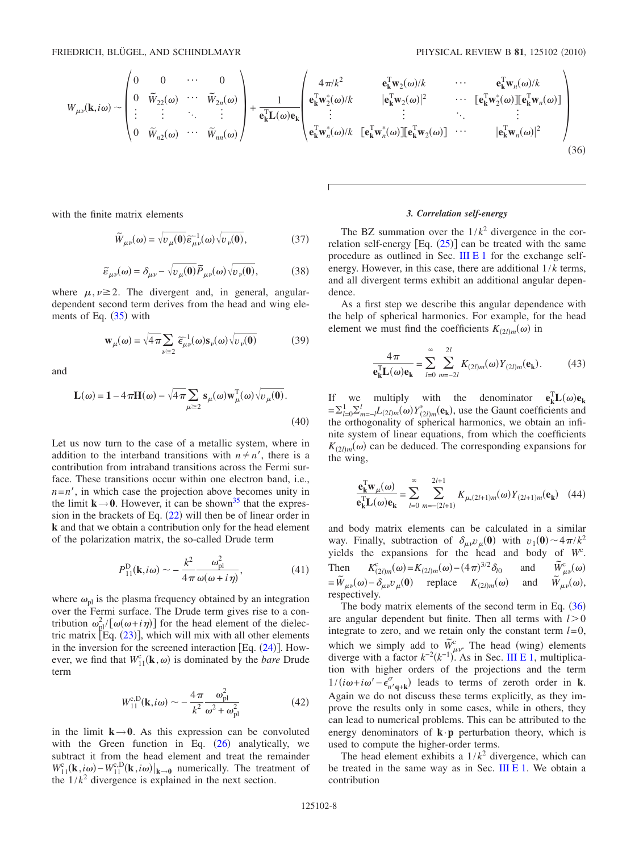<span id="page-7-0"></span>
$$
W_{\mu\nu}(\mathbf{k},i\omega) \sim \begin{pmatrix} 0 & 0 & \cdots & 0 \\ 0 & \widetilde{W}_{22}(\omega) & \cdots & \widetilde{W}_{2n}(\omega) \\ \vdots & \vdots & \ddots & \vdots \\ 0 & \widetilde{W}_{n2}(\omega) & \cdots & \widetilde{W}_{nn}(\omega) \end{pmatrix} + \frac{1}{\mathbf{e}_{\mathbf{k}}^{\mathrm{T}}\mathbf{L}(\omega)\mathbf{e}_{\mathbf{k}}} \begin{pmatrix} 4\pi/k^{2} & \mathbf{e}_{\mathbf{k}}^{\mathrm{T}}\mathbf{w}_{2}(\omega)/k & \cdots & \mathbf{e}_{\mathbf{k}}^{\mathrm{T}}\mathbf{w}_{n}(\omega)/k \\ \mathbf{e}_{\mathbf{k}}^{\mathrm{T}}\mathbf{w}_{2}^{*}(\omega)/k & |\mathbf{e}_{\mathbf{k}}^{\mathrm{T}}\mathbf{w}_{2}(\omega)|^{2} & \cdots & |\mathbf{e}_{\mathbf{k}}^{\mathrm{T}}\mathbf{w}_{2}^{*}(\omega)|\mathbf{e}_{\mathbf{k}}^{\mathrm{T}}\mathbf{w}_{n}(\omega)| \\ \vdots & \vdots & \ddots & \vdots \\ \mathbf{e}_{\mathbf{k}}^{\mathrm{T}}\mathbf{w}_{n}^{*}(\omega)/k & |\mathbf{e}_{\mathbf{k}}^{\mathrm{T}}\mathbf{w}_{n}^{*}(\omega)|\mathbf{e}_{\mathbf{k}}^{\mathrm{T}}\mathbf{w}_{2}(\omega)| & \cdots & |\mathbf{e}_{\mathbf{k}}^{\mathrm{T}}\mathbf{w}_{n}(\omega)|^{2} \end{pmatrix}
$$
(36)

with the finite matrix elements

$$
\widetilde{W}_{\mu\nu}(\omega) = \sqrt{\nu_{\mu}(0)} \widetilde{\varepsilon}_{\mu\nu}^{-1}(\omega) \sqrt{\nu_{\nu}(0)},
$$
\n(37)

$$
\widetilde{\varepsilon}_{\mu\nu}(\omega) = \delta_{\mu\nu} - \sqrt{\nu_{\mu}(0)} \widetilde{P}_{\mu\nu}(\omega) \sqrt{\nu_{\nu}(0)},
$$
\n(38)

where  $\mu$ ,  $\nu \ge 2$ . The divergent and, in general, angulardependent second term derives from the head and wing elements of Eq.  $(35)$  $(35)$  $(35)$  with

$$
\mathbf{w}_{\mu}(\omega) = \sqrt{4\pi} \sum_{\nu \ge 2} \widetilde{\epsilon}_{\mu\nu}^{-1}(\omega) \mathbf{s}_{\nu}(\omega) \sqrt{\upsilon_{\nu}(\mathbf{0})}
$$
(39)

and

$$
\mathbf{L}(\omega) = 1 - 4\pi \mathbf{H}(\omega) - \sqrt{4\pi} \sum_{\mu \ge 2} \mathbf{s}_{\mu}(\omega) \mathbf{w}_{\mu}^{T}(\omega) \sqrt{v_{\mu}(\mathbf{0})}.
$$
\n(40)

Let us now turn to the case of a metallic system, where in addition to the interband transitions with  $n \neq n'$ , there is a contribution from intraband transitions across the Fermi surface. These transitions occur within one electron band, i.e.,  $n=n'$ , in which case the projection above becomes unity in the limit  $k \rightarrow 0$ . However, it can be shown<sup>35</sup> that the expression in the brackets of Eq.  $(22)$  $(22)$  $(22)$  will then be of linear order in **k** and that we obtain a contribution only for the head element of the polarization matrix, the so-called Drude term

$$
P_{11}^{\rm D}(\mathbf{k}, i\omega) \sim -\frac{k^2}{4\pi} \frac{\omega_{\rm pl}^2}{\omega(\omega + i\eta)},\tag{41}
$$

where  $\omega_{\text{pl}}$  is the plasma frequency obtained by an integration over the Fermi surface. The Drude term gives rise to a contribution  $\omega_{\text{pl}}^2 / [\omega(\omega + i\eta)]$  for the head element of the dielectric matrix  $[Eq. (23)]$  $[Eq. (23)]$  $[Eq. (23)]$ , which will mix with all other elements in the inversion for the screened interaction  $[Eq. (24)]$  $[Eq. (24)]$  $[Eq. (24)]$ . However, we find that  $W_{11}^c(\mathbf{k}, \omega)$  is dominated by the *bare* Drude term

$$
W_{11}^{\text{c,D}}(\mathbf{k}, i\omega) \sim -\frac{4\pi}{k^2} \frac{\omega_{\text{pl}}^2}{\omega^2 + \omega_{\text{pl}}^2}
$$
(42)

in the limit  $k \rightarrow 0$ . As this expression can be convoluted with the Green function in Eq.  $(26)$  $(26)$  $(26)$  analytically, we subtract it from the head element and treat the remainder  $W_{11}^c(\mathbf{k}, i\omega) - W_{11}^{c,D}(\mathbf{k}, i\omega)|_{\mathbf{k}\to\mathbf{0}}$  numerically. The treatment of the  $1/k^2$  divergence is explained in the next section.

## *3. Correlation self-energy*

The BZ summation over the  $1/k^2$  divergence in the correlation self-energy  $[Eq. (25)]$  $[Eq. (25)]$  $[Eq. (25)]$  can be treated with the same procedure as outlined in Sec. [III E 1](#page-5-1) for the exchange selfenergy. However, in this case, there are additional 1/*k* terms, and all divergent terms exhibit an additional angular dependence.

As a first step we describe this angular dependence with the help of spherical harmonics. For example, for the head element we must find the coefficients  $K_{(2l)m}(\omega)$  in

$$
\frac{4\pi}{\mathbf{e}_{k}^{T}\mathbf{L}(\omega)\mathbf{e}_{k}} = \sum_{l=0}^{\infty} \sum_{m=-2l}^{2l} K_{(2l)m}(\omega) Y_{(2l)m}(\mathbf{e}_{k}).
$$
 (43)

If we multiply with the denominator  $\mathbf{e}_k^T \mathbf{L}(\omega) \mathbf{e}_k$  $=\sum_{l=0}^{1} \sum_{m=-l}^{l} L_{(2l)m}(\omega) Y^{*}_{(2l)m}(\mathbf{e_k})$ , use the Gaunt coefficients and the orthogonality of spherical harmonics, we obtain an infinite system of linear equations, from which the coefficients  $K_{(2l)m}(\omega)$  can be deduced. The corresponding expansions for the wing,

$$
\frac{\mathbf{e}_{\mathbf{k}}^{\mathrm{T}}\mathbf{w}_{\mu}(\omega)}{\mathbf{e}_{\mathbf{k}}^{\mathrm{T}}\mathbf{L}(\omega)\mathbf{e}_{\mathbf{k}}} = \sum_{l=0}^{\infty} \sum_{m=-(2l+1)}^{2l+1} K_{\mu,(2l+1)m}(\omega) Y_{(2l+1)m}(\mathbf{e}_{\mathbf{k}}) \quad (44)
$$

and body matrix elements can be calculated in a similar way. Finally, subtraction of  $\delta_{\mu\nu} v_{\mu}(\mathbf{0})$  with  $v_1(\mathbf{0}) \sim 4\pi/k^2$ yields the expansions for the head and body of *W*<sup>c</sup> . Then  $K^c_{(2l)m}(\omega) = K_{(2l)m}(\omega) - (4\pi)^{3/2} \delta_{l0}$  and  $\tilde{W}$  $\frac{c}{\mu\nu}(\omega)$  $=\widetilde{W}_{\mu\nu}(\omega) - \delta_{\mu\nu}v_{\mu}(0)$  replace  $K_{(2l)m}(\omega)$  and  $\widetilde{W}$  $\mu_\nu(\omega),$ respectively.

The body matrix elements of the second term in Eq.  $(36)$  $(36)$  $(36)$ are angular dependent but finite. Then all terms with  $l > 0$ integrate to zero, and we retain only the constant term  $l=0$ , which we simply add to  $\widetilde{W}_{\mu\nu}^c$ . The head (wing) elements diverge with a factor  $k^{-2}(k^{-1})$ . As in Sec. [III E 1,](#page-5-1) multiplication with higher orders of the projections and the term 1/ $(iω + iω' - ε<sub>n<sub>q+k</sub></sub><sup>σ</sup>)$  leads to terms of zeroth order in **k**. Again we do not discuss these terms explicitly, as they improve the results only in some cases, while in others, they can lead to numerical problems. This can be attributed to the energy denominators of  $\mathbf{k} \cdot \mathbf{p}$  perturbation theory, which is used to compute the higher-order terms.

The head element exhibits a  $1/k^2$  divergence, which can be treated in the same way as in Sec. [III E 1.](#page-5-1) We obtain a contribution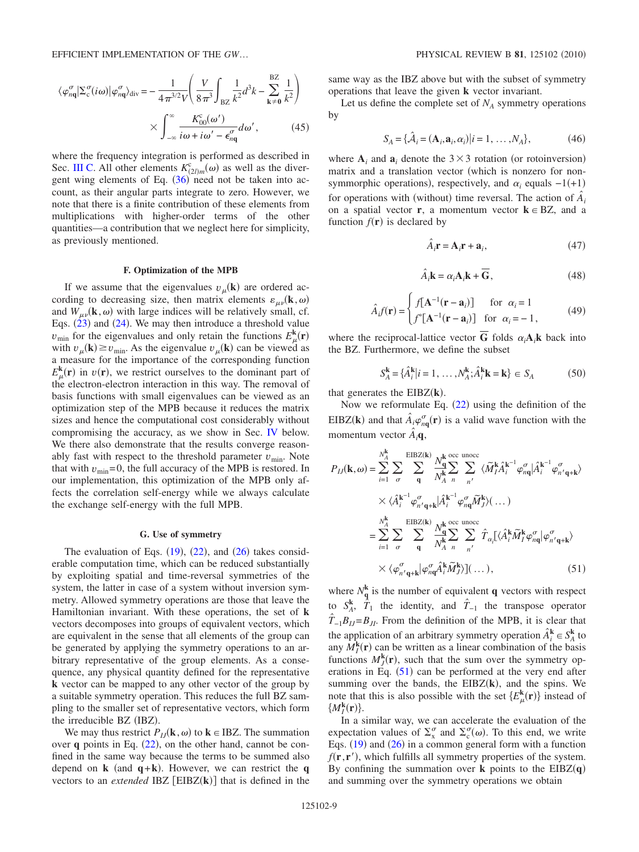$$
\langle \varphi_{n\mathbf{q}}^{\sigma} | \Sigma_{\mathbf{c}}^{\sigma} (i\omega) | \varphi_{n\mathbf{q}}^{\sigma} \rangle_{\text{div}} = -\frac{1}{4\pi^{3/2} V} \left( \frac{V}{8\pi^{3}} \int_{BZ} \frac{1}{k^{2}} d^{3}k - \sum_{\mathbf{k} \neq \mathbf{0}}^{BZ} \frac{1}{k^{2}} \right) \times \int_{-\infty}^{\infty} \frac{K_{00}^{\mathbf{c}}(\omega')}{i\omega + i\omega' - \epsilon_{n\mathbf{q}}^{\sigma}} d\omega', \qquad (45)
$$

where the frequency integration is performed as described in Sec. [III C.](#page-3-4) All other elements  $K_{(2l)m}^c(\omega)$  as well as the divergent wing elements of Eq.  $(36)$  $(36)$  $(36)$  need not be taken into account, as their angular parts integrate to zero. However, we note that there is a finite contribution of these elements from multiplications with higher-order terms of the other quantities—a contribution that we neglect here for simplicity, as previously mentioned.

## **F. Optimization of the MPB**

<span id="page-8-1"></span>If we assume that the eigenvalues  $v_{\mu}(\mathbf{k})$  are ordered according to decreasing size, then matrix elements  $\varepsilon_{\mu\nu}(\mathbf{k}, \omega)$ and  $W_{\mu\nu}(\mathbf{k}, \omega)$  with large indices will be relatively small, cf. Eqs.  $(23)$  $(23)$  $(23)$  and  $(24)$  $(24)$  $(24)$ . We may then introduce a threshold value  $v_{\text{min}}$  for the eigenvalues and only retain the functions  $E_{\mu}^{\mathbf{k}}(\mathbf{r})$ with  $v_{\mu}(\mathbf{k}) \ge v_{\text{min}}$ . As the eigenvalue  $v_{\mu}(\mathbf{k})$  can be viewed as a measure for the importance of the corresponding function  $E_{\mu}^{k}(\mathbf{r})$  in *v*(**r**), we restrict ourselves to the dominant part of the electron-electron interaction in this way. The removal of basis functions with small eigenvalues can be viewed as an optimization step of the MPB because it reduces the matrix sizes and hence the computational cost considerably without compromising the accuracy, as we show in Sec. [IV](#page-9-0) below. We there also demonstrate that the results converge reasonably fast with respect to the threshold parameter  $v_{\text{min}}$ . Note that with  $v_{\text{min}}=0$ , the full accuracy of the MPB is restored. In our implementation, this optimization of the MPB only affects the correlation self-energy while we always calculate the exchange self-energy with the full MPB.

### **G. Use of symmetry**

<span id="page-8-2"></span>The evaluation of Eqs.  $(19)$  $(19)$  $(19)$ ,  $(22)$  $(22)$  $(22)$ , and  $(26)$  $(26)$  $(26)$  takes considerable computation time, which can be reduced substantially by exploiting spatial and time-reversal symmetries of the system, the latter in case of a system without inversion symmetry. Allowed symmetry operations are those that leave the Hamiltonian invariant. With these operations, the set of **k** vectors decomposes into groups of equivalent vectors, which are equivalent in the sense that all elements of the group can be generated by applying the symmetry operations to an arbitrary representative of the group elements. As a consequence, any physical quantity defined for the representative **k** vector can be mapped to any other vector of the group by a suitable symmetry operation. This reduces the full BZ sampling to the smaller set of representative vectors, which form the irreducible BZ (IBZ).

We may thus restrict  $P_{IJ}(\mathbf{k}, \omega)$  to  $\mathbf{k} \in \text{IBZ}$ . The summation over  $q$  points in Eq.  $(22)$  $(22)$  $(22)$ , on the other hand, cannot be confined in the same way because the terms to be summed also depend on **k** (and  $q+k$ ). However, we can restrict the  $q$ vectors to an *extended* IBZ [EIBZ(k)] that is defined in the

same way as the IBZ above but with the subset of symmetry operations that leave the given **k** vector invariant.

Let us define the complete set of  $N_A$  symmetry operations by

$$
S_A = \{ \hat{\mathcal{A}}_i = (\mathbf{A}_i, \mathbf{a}_i, \alpha_i) | i = 1, \dots, N_A \},\tag{46}
$$

where  $A_i$  and  $a_i$  denote the  $3 \times 3$  rotation (or rotoinversion) matrix and a translation vector (which is nonzero for nonsymmorphic operations), respectively, and  $\alpha_i$  equals  $-1(+1)$ for operations with (without) time reversal. The action of  $\hat{A}_i$ on a spatial vector **r**, a momentum vector  $\mathbf{k} \in BZ$ , and a function  $f(\mathbf{r})$  is declared by

$$
\hat{A}_i \mathbf{r} = \mathbf{A}_i \mathbf{r} + \mathbf{a}_i,\tag{47}
$$

$$
\hat{A}_i \mathbf{k} = \alpha_i \mathbf{A}_i \mathbf{k} + \overline{\mathbf{G}},\tag{48}
$$

$$
\hat{A}_{i}f(\mathbf{r}) = \begin{cases} f[\mathbf{A}^{-1}(\mathbf{r} - \mathbf{a}_{i})] & \text{for } \alpha_{i} = 1 \\ f^{*}[\mathbf{A}^{-1}(\mathbf{r} - \mathbf{a}_{i})] & \text{for } \alpha_{i} = -1, \end{cases}
$$
(49)

where the reciprocal-lattice vector **G** folds  $\alpha_i \mathbf{A}_i \mathbf{k}$  back into the BZ. Furthermore, we define the subset

$$
S_A^{\mathbf{k}} = \{\hat{A}_i^{\mathbf{k}} | i = 1, ..., N_A^{\mathbf{k}}, \hat{A}_i^{\mathbf{k}} \mathbf{k} = \mathbf{k}\} \in S_A
$$
 (50)

that generates the  $EIBZ(\mathbf{k})$ .

Now we reformulate Eq.  $(22)$  $(22)$  $(22)$  using the definition of the EIBZ(**k**) and that  $\hat{A}_i \varphi_{nq}^{\sigma}(\mathbf{r})$  is a valid wave function with the momentum vector  $\hat{A}_i \mathbf{q}$ ,

<span id="page-8-0"></span>
$$
P_{IJ}(\mathbf{k},\omega) = \sum_{i=1}^{N_A^k} \sum_{\sigma} \sum_{\mathbf{q}} \sum_{\mathbf{N}_A^k} \frac{N_A^{\text{acc unocc}}}{N_A^k N_A} \sum_{n'} \langle \tilde{M}_I^k \hat{A}_i^{k^{-1}} \varphi_{n\mathbf{q}}^{\sigma} | \hat{A}_i^{k^{-1}} \varphi_{n'\mathbf{q}+\mathbf{k}}^{\sigma} \rangle
$$
  
 
$$
\times \langle \hat{A}_i^{k^{-1}} \varphi_{n'\mathbf{q}+\mathbf{k}}^{\sigma} | \hat{A}_i^{k^{-1}} \varphi_{n\mathbf{q}}^{\sigma} \tilde{M}_J^k \rangle (\dots)
$$
  

$$
= \sum_{i=1}^{N_A^k} \sum_{\sigma} \sum_{\mathbf{q}} \sum_{\mathbf{N}_A^k} \frac{N_A^{\text{acc unocc}}}{N_A^k N_A} \sum_{n'} \sum_{n'} \hat{T}_{\alpha_i} [\langle \hat{A}_i^k \tilde{M}_I^k \varphi_{n\mathbf{q}}^{\sigma} | \varphi_{n'\mathbf{q}+\mathbf{k}}^{\sigma} \rangle
$$
  

$$
\times \langle \varphi_{n'\mathbf{q}+\mathbf{k}}^{\sigma} | \varphi_{n\mathbf{q}}^{\sigma} \hat{A}_i^k \tilde{M}_J^k \rangle] (\dots), \qquad (51)
$$

where  $N_q^k$  is the number of equivalent **q** vectors with respect to  $S_A^k$ ,  $\hat{T}_1$  the identity, and  $\hat{T}_{-1}$  the transpose operator  $\hat{T}_{-1}B_{IJ} = B_{JI}$ . From the definition of the MPB, it is clear that the application of an arbitrary symmetry operation  $\hat{A}_i^{\mathbf{k}} \in S_A^{\mathbf{k}}$  to any  $M_I^{\mathbf{k}}(\mathbf{r})$  can be written as a linear combination of the basis functions  $M_f^k(\mathbf{r})$ , such that the sum over the symmetry operations in Eq.  $(51)$  $(51)$  $(51)$  can be performed at the very end after summing over the bands, the  $EIBZ(k)$ , and the spins. We note that this is also possible with the set  $\{E_{\mu}^{\mathbf{k}}(\mathbf{r})\}$  instead of  ${M_I^{\mathbf{k}}(\mathbf{r})}.$ 

In a similar way, we can accelerate the evaluation of the expectation values of  $\Sigma_x^{\sigma}$  and  $\Sigma_c^{\sigma}(\omega)$ . To this end, we write Eqs.  $(19)$  $(19)$  $(19)$  and  $(26)$  $(26)$  $(26)$  in a common general form with a function  $f(\mathbf{r}, \mathbf{r}')$ , which fulfills all symmetry properties of the system. By confining the summation over  $\bf{k}$  points to the EIBZ $(\bf{q})$ and summing over the symmetry operations we obtain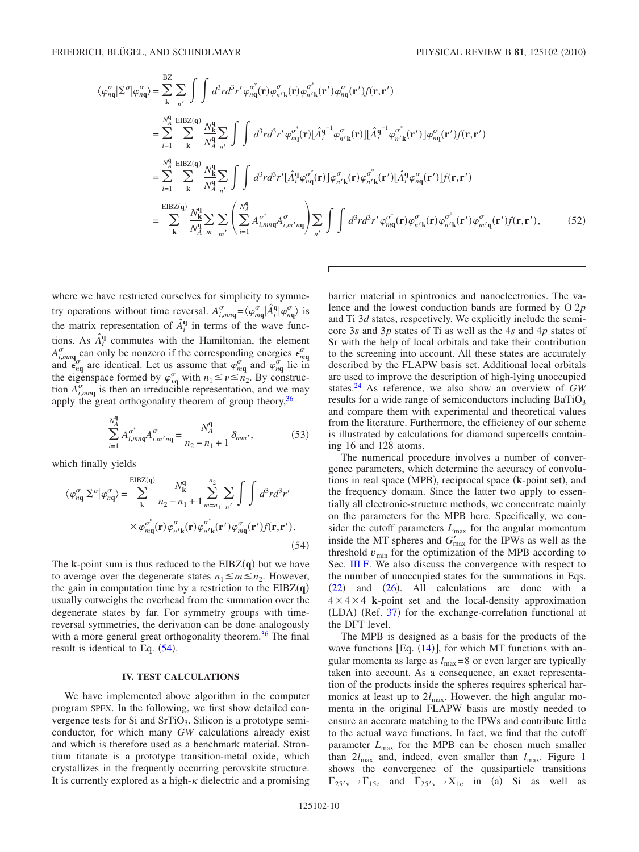$$
\langle \varphi_{n\mathbf{q}}^{\sigma} | \Sigma^{\sigma} | \varphi_{n\mathbf{q}}^{\sigma} \rangle = \sum_{\mathbf{k}}^{\text{BZ}} \sum_{n'} \int \int d^{3}r d^{3}r' \varphi_{n\mathbf{q}}^{\sigma^{*}}(\mathbf{r}) \varphi_{n'\mathbf{k}}^{\sigma}(\mathbf{r}) \varphi_{n'\mathbf{k}}^{\sigma}(\mathbf{r'}) f(\mathbf{r}, \mathbf{r'})
$$
  
\n
$$
= \sum_{i=1}^{N_{A}^{q}} \sum_{\mathbf{k}}^{\text{EIBZ}(\mathbf{q})} \int \int d^{3}r d^{3}r' \varphi_{n\mathbf{q}}^{\sigma^{*}}(\mathbf{r}) [\hat{A}_{i}^{\mathbf{q}-1} \varphi_{n'\mathbf{k}}^{\sigma}(\mathbf{r})] [\hat{A}_{i}^{\mathbf{q}-1} \varphi_{n'\mathbf{k}}^{\sigma^{*}}(\mathbf{r'})] \varphi_{n\mathbf{q}}^{\sigma}(\mathbf{r'}) f(\mathbf{r}, \mathbf{r'})
$$
  
\n
$$
= \sum_{i=1}^{N_{A}^{q}} \sum_{\mathbf{k}}^{\text{EIBZ}(\mathbf{q})} \int \int d^{3}r d^{3}r' \varphi_{n\mathbf{q}}^{\sigma^{*}}(\mathbf{r}) [\hat{A}_{i}^{\mathbf{q}} \varphi_{n'\mathbf{k}}^{\sigma}(\mathbf{r})] [\hat{A}_{i}^{\mathbf{q}-1} \varphi_{n'\mathbf{k}}^{\sigma^{*}}(\mathbf{r'})] f(\mathbf{r}, \mathbf{r'})
$$
  
\n
$$
= \sum_{i=1}^{N_{A}^{q}} \sum_{\mathbf{k}}^{\text{EIBZ}(\mathbf{q})} \int \int d^{3}r d^{3}r' [\hat{A}_{i}^{\mathbf{q}} \varphi_{n\mathbf{q}}^{\sigma^{*}}(\mathbf{r})] \varphi_{n'\mathbf{k}}^{\sigma}(\mathbf{r}) \varphi_{n'\mathbf{k}}^{\sigma^{*}}(\mathbf{r'})] f(\mathbf{r}, \mathbf{r'})
$$
  
\n
$$
= \sum_{\mathbf{k}}^{\text{EIBZ}(\mathbf{q})} \frac{N_{\mathbf{k}}^{\mathbf{q}}}{N_{A}^{\mathbf{q}}} \sum_{m'} \
$$

where we have restricted ourselves for simplicity to symmetry operations without time reversal.  $A_{i,mnq}^{\sigma} = \langle \varphi_{mq}^{\sigma} | \hat{A}_i^{\sigma} | \varphi_{nq}^{\sigma} \rangle$  is the matrix representation of  $\hat{A}^q_i$  in terms of the wave functions. As  $\hat{A}^{\mathbf{q}}_i$  commutes with the Hamiltonian, the element  $A_{i,mnq}^{\sigma}$  can only be nonzero if the corresponding energies  $\epsilon_{mq}^{\sigma}$ and  $\epsilon_{nq}^{\sigma}$  are identical. Let us assume that  $\varphi_{mq}^{\sigma}$  and  $\varphi_{nq}^{\sigma}$  lie in the eigenspace formed by  $\varphi_{\nu q}^{\sigma}$  with  $n_1 \leq \nu \leq n_2$ . By construction  $A_{i,mnq}^{\sigma}$  is then an irreducible representation, and we may apply the great orthogonality theorem of group theory,<sup>36</sup>

$$
\sum_{i=1}^{N_A^{\mathbf{q}}} A_{i,mn\mathbf{q}}^{\sigma^*} A_{i,m'n\mathbf{q}}^{\sigma} = \frac{N_A^{\mathbf{q}}}{n_2 - n_1 + 1} \delta_{mm'},
$$
 (53)

which finally yields

<span id="page-9-1"></span>
$$
\langle \varphi_{n\mathbf{q}}^{\sigma} | \Sigma^{\sigma} | \varphi_{n\mathbf{q}}^{\sigma} \rangle = \sum_{\mathbf{k}}^{\text{EIBZ}(\mathbf{q})} \frac{N_{\mathbf{k}}^{\mathbf{q}}}{n_2 - n_1 + 1} \sum_{m=n_1}^{n_2} \sum_{n'} \int \int d^3 r d^3 r'
$$

$$
\times \varphi_{m\mathbf{q}}^{\sigma^*}(\mathbf{r}) \varphi_{n'\mathbf{k}}^{\sigma^*}(\mathbf{r}) \varphi_{n'\mathbf{k}}^{\sigma^*}(\mathbf{r'}) \varphi_{m\mathbf{q}}^{\sigma^*}(\mathbf{r'}) f(\mathbf{r}, \mathbf{r'}).
$$
(54)

The  $k$ -point sum is thus reduced to the  $EIBZ(q)$  but we have to average over the degenerate states  $n_1 \le m \le n_2$ . However, the gain in computation time by a restriction to the EIBZ**q** usually outweighs the overhead from the summation over the degenerate states by far. For symmetry groups with timereversal symmetries, the derivation can be done analogously with a more general great orthogonality theorem.<sup>36</sup> The final result is identical to Eq.  $(54)$  $(54)$  $(54)$ .

# **IV. TEST CALCULATIONS**

<span id="page-9-0"></span>We have implemented above algorithm in the computer program SPEX. In the following, we first show detailed convergence tests for Si and SrTiO<sub>3</sub>. Silicon is a prototype semiconductor, for which many *GW* calculations already exist and which is therefore used as a benchmark material. Strontium titanate is a prototype transition-metal oxide, which crystallizes in the frequently occurring perovskite structure. It is currently explored as a high- $\kappa$  dielectric and a promising

barrier material in spintronics and nanoelectronics. The valence and the lowest conduction bands are formed by O 2*p* and Ti 3*d* states, respectively. We explicitly include the semicore 3*s* and 3*p* states of Ti as well as the 4*s* and 4*p* states of Sr with the help of local orbitals and take their contribution to the screening into account. All these states are accurately described by the FLAPW basis set. Additional local orbitals are used to improve the description of high-lying unoccupied states[.24](#page-14-21) As reference, we also show an overview of *GW* results for a wide range of semiconductors including  $BaTiO<sub>3</sub>$ and compare them with experimental and theoretical values from the literature. Furthermore, the efficiency of our scheme is illustrated by calculations for diamond supercells containing 16 and 128 atoms.

The numerical procedure involves a number of convergence parameters, which determine the accuracy of convolutions in real space (MPB), reciprocal space (k-point set), and the frequency domain. Since the latter two apply to essentially all electronic-structure methods, we concentrate mainly on the parameters for the MPB here. Specifically, we consider the cutoff parameters *L*max for the angular momentum inside the MT spheres and  $G'_{\text{max}}$  for the IPWs as well as the threshold  $v_{\text{min}}$  for the optimization of the MPB according to Sec. [III F.](#page-8-1) We also discuss the convergence with respect to the number of unoccupied states for the summations in Eqs.  $(22)$  $(22)$  $(22)$  and  $(26)$  $(26)$  $(26)$ . All calculations are done with a  $4 \times 4 \times 4$  **k**-point set and the local-density approximation (LDA) (Ref. [37](#page-14-34)) for the exchange-correlation functional at the DFT level.

The MPB is designed as a basis for the products of the wave functions  $[Eq. (14)]$  $[Eq. (14)]$  $[Eq. (14)]$ , for which MT functions with angular momenta as large as  $l_{\text{max}}=8$  or even larger are typically taken into account. As a consequence, an exact representation of the products inside the spheres requires spherical harmonics at least up to  $2l_{\text{max}}$ . However, the high angular momenta in the original FLAPW basis are mostly needed to ensure an accurate matching to the IPWs and contribute little to the actual wave functions. In fact, we find that the cutoff parameter  $L_{\text{max}}$  for the MPB can be chosen much smaller than  $2l_{\text{max}}$  and, indeed, even smaller than  $l_{\text{max}}$ . Figure [1](#page-10-0) shows the convergence of the quasiparticle transitions  $\Gamma_{25'v} \rightarrow \Gamma_{15c}$  and  $\Gamma_{25'v} \rightarrow X_{1c}$  in (a) Si as well as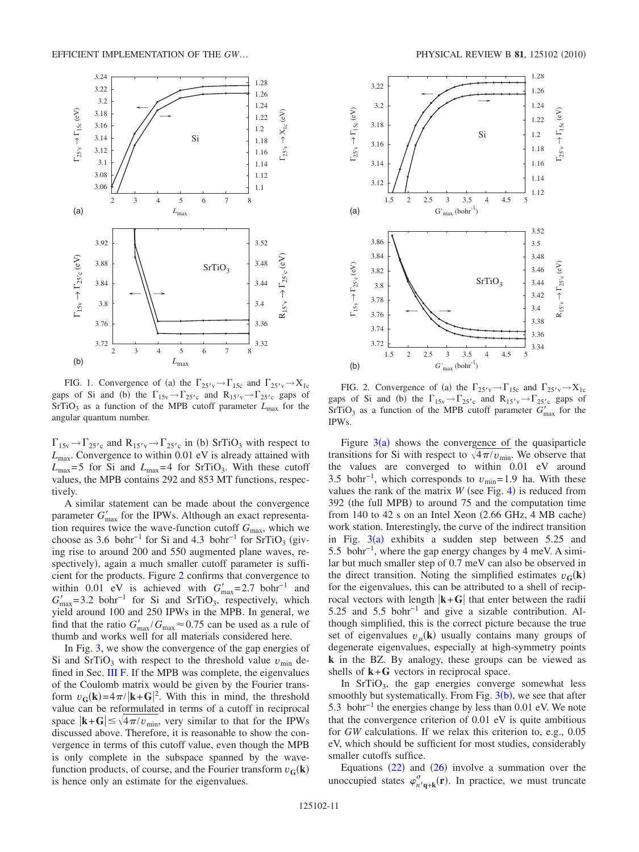<span id="page-10-0"></span>

FIG. 1. Convergence of (a) the  $\Gamma_{25'v} \rightarrow \Gamma_{15c}$  and  $\Gamma_{25'v} \rightarrow X_{1c}$ gaps of Si and (b) the  $\Gamma_{15v} \rightarrow \Gamma_{25c}$  and  $R_{15v} \rightarrow \Gamma_{25c}$  gaps of  $SrTiO<sub>3</sub>$  as a function of the MPB cutoff parameter  $L_{\text{max}}$  for the angular quantum number.

 $\Gamma_{15v} \rightarrow \Gamma_{25'c}$  and  $R_{15'v} \rightarrow \Gamma_{25'c}$  in (b) SrTiO<sub>3</sub> with respect to *L*max. Convergence to within 0.01 eV is already attained with  $L_{\text{max}}$ =5 for Si and  $L_{\text{max}}$ =4 for SrTiO<sub>3</sub>. With these cutoff values, the MPB contains 292 and 853 MT functions, respectively.

A similar statement can be made about the convergence parameter  $G'_{\text{max}}$  for the IPWs. Although an exact representation requires twice the wave-function cutoff  $G_{\text{max}}$ , which we choose as 3.6 bohr<sup>-1</sup> for Si and 4.3 bohr<sup>-1</sup> for SrTiO<sub>3</sub> (giving rise to around 200 and 550 augmented plane waves, respectively), again a much smaller cutoff parameter is sufficient for the products. Figure [2](#page-10-1) confirms that convergence to within 0.01 eV is achieved with  $G'_{\text{max}} = 2.7$  bohr<sup>-1</sup> and  $G'_{\text{max}} = 3.2$  bohr<sup>-1</sup> for Si and SrTiO<sub>3</sub>, respectively, which yield around 100 and 250 IPWs in the MPB. In general, we find that the ratio  $G'_{\text{max}}/G_{\text{max}} \approx 0.75$  can be used as a rule of thumb and works well for all materials considered here.

In Fig. [3,](#page-11-0) we show the convergence of the gap energies of Si and SrTiO<sub>3</sub> with respect to the threshold value  $v_{\text{min}}$  defined in Sec.  $III$  F. If the MPB was complete, the eigenvalues of the Coulomb matrix would be given by the Fourier transform  $v_G(\mathbf{k}) = 4\pi/|\mathbf{k} + \mathbf{G}|^2$ . With this in mind, the threshold value can be reformulated in terms of a cutoff in reciprocal space  $|\mathbf{k} + \mathbf{G}| \leq \sqrt{4\pi/v_{\text{min}}}$ , very similar to that for the IPWs discussed above. Therefore, it is reasonable to show the convergence in terms of this cutoff value, even though the MPB is only complete in the subspace spanned by the wavefunction products, of course, and the Fourier transform  $v_{\mathbf{G}}(\mathbf{k})$ is hence only an estimate for the eigenvalues.

<span id="page-10-1"></span>

FIG. 2. Convergence of (a) the  $\Gamma_{25'v} \to \Gamma_{15c}$  and  $\Gamma_{25'v} \to X_{1c}$ gaps of Si and (b) the  $\Gamma_{15v} \rightarrow \Gamma_{25c}$  and  $R_{15v} \rightarrow \Gamma_{25c}$  gaps of SrTiO<sub>3</sub> as a function of the MPB cutoff parameter  $G'_{\text{max}}$  for the IPWs.

Figure  $3(a)$  $3(a)$  shows the convergence of the quasiparticle transitions for Si with respect to  $\sqrt{4\pi/v_{\text{min}}}$ . We observe that the values are converged to within 0.01 eV around 3.5 bohr<sup>-1</sup>, which corresponds to  $v_{\text{min}}$ =1.9 ha. With these values the rank of the matrix  $W$  (see Fig. [4](#page-11-1)) is reduced from 392 (the full MPB) to around 75 and the computation time from 140 to 42 s on an Intel Xeon (2.66 GHz, 4 MB cache) work station. Interestingly, the curve of the indirect transition in Fig.  $3(a)$  $3(a)$  exhibits a sudden step between 5.25 and 5.5 bohr−1, where the gap energy changes by 4 meV. A similar but much smaller step of 0.7 meV can also be observed in the direct transition. Noting the simplified estimates  $v_{\mathbf{G}}(\mathbf{k})$ for the eigenvalues, this can be attributed to a shell of reciprocal vectors with length  $\mathbf{k} + \mathbf{G}$  that enter between the radii 5.25 and 5.5 bohr−1 and give a sizable contribution. Although simplified, this is the correct picture because the true set of eigenvalues  $v_{\mu}(\mathbf{k})$  usually contains many groups of degenerate eigenvalues, especially at high-symmetry points **k** in the BZ. By analogy, these groups can be viewed as shells of **k**+**G** vectors in reciprocal space.

In  $SrTiO<sub>3</sub>$ , the gap energies converge somewhat less smoothly but systematically. From Fig.  $3(b)$  $3(b)$ , we see that after 5.3 bohr−1 the energies change by less than 0.01 eV. We note that the convergence criterion of 0.01 eV is quite ambitious for *GW* calculations. If we relax this criterion to, e.g., 0.05 eV, which should be sufficient for most studies, considerably smaller cutoffs suffice.

Equations  $(22)$  $(22)$  $(22)$  and  $(26)$  $(26)$  $(26)$  involve a summation over the unoccupied states  $\varphi_{n'q+k}^{\sigma}(\mathbf{r})$ . In practice, we must truncate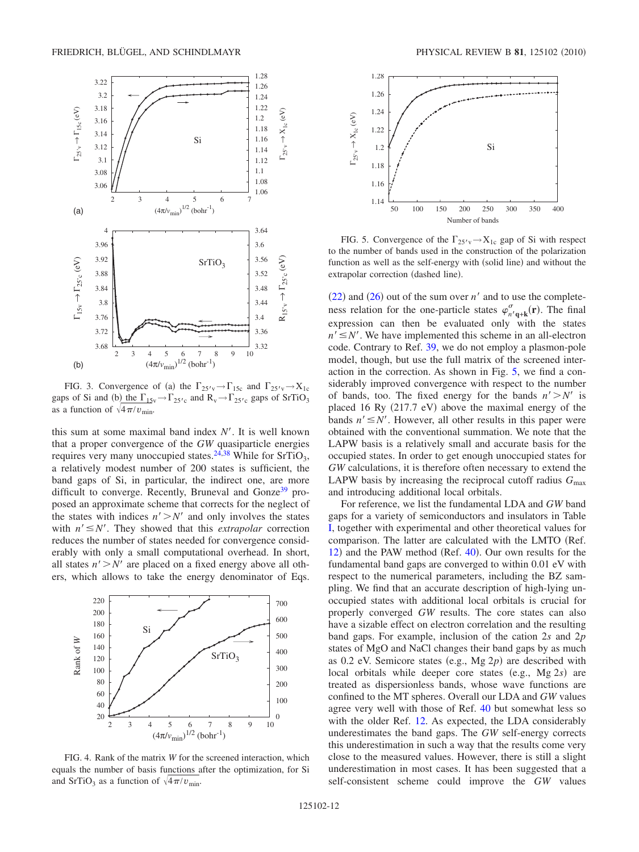<span id="page-11-0"></span>

FIG. 3. Convergence of (a) the  $\Gamma_{25'} \rightarrow \Gamma_{15c}$  and  $\Gamma_{25'} \rightarrow \Gamma_{16}$ gaps of Si and (b) the  $\Gamma_{15v} \rightarrow \Gamma_{25c}$  and  $R_v \rightarrow \Gamma_{25c}$  gaps of SrTiO<sub>3</sub> as a function of  $\sqrt{4\pi/v_{\text{min}}}.$ 

this sum at some maximal band index *N*. It is well known that a proper convergence of the *GW* quasiparticle energies requires very many unoccupied states.<sup>24[,38](#page-14-35)</sup> While for SrTiO<sub>3</sub>, a relatively modest number of 200 states is sufficient, the band gaps of Si, in particular, the indirect one, are more difficult to converge. Recently, Bruneval and Gonze<sup>39</sup> proposed an approximate scheme that corrects for the neglect of the states with indices  $n' \ge N'$  and only involves the states with  $n' \leq N'$ . They showed that this *extrapolar* correction reduces the number of states needed for convergence considerably with only a small computational overhead. In short, all states  $n'$  >  $N'$  are placed on a fixed energy above all others, which allows to take the energy denominator of Eqs.

<span id="page-11-1"></span>

FIG. 4. Rank of the matrix *W* for the screened interaction, which equals the number of basis functions after the optimization, for Si and SrTiO<sub>3</sub> as a function of  $\sqrt{4\pi/v_{\text{min}}}.$ 

<span id="page-11-2"></span>

FIG. 5. Convergence of the  $\Gamma_{25} \sim X_{1c}$  gap of Si with respect to the number of bands used in the construction of the polarization function as well as the self-energy with (solid line) and without the extrapolar correction (dashed line).

 $(22)$  $(22)$  $(22)$  and  $(26)$  $(26)$  $(26)$  out of the sum over  $n'$  and to use the completeness relation for the one-particle states  $\varphi_{n'\mathbf{q}+\mathbf{k}}^{\sigma}(\mathbf{r})$ . The final expression can then be evaluated only with the states  $n' \leq N'$ . We have implemented this scheme in an all-electron code. Contrary to Ref. [39,](#page-14-36) we do not employ a plasmon-pole model, though, but use the full matrix of the screened interaction in the correction. As shown in Fig. [5,](#page-11-2) we find a considerably improved convergence with respect to the number of bands, too. The fixed energy for the bands  $n' \ge N'$  is placed 16 Ry  $(217.7 \text{ eV})$  above the maximal energy of the bands  $n' \leq N'$ . However, all other results in this paper were obtained with the conventional summation. We note that the LAPW basis is a relatively small and accurate basis for the occupied states. In order to get enough unoccupied states for *GW* calculations, it is therefore often necessary to extend the LAPW basis by increasing the reciprocal cutoff radius  $G_{\text{max}}$ and introducing additional local orbitals.

For reference, we list the fundamental LDA and *GW* band gaps for a variety of semiconductors and insulators in Table [I,](#page-12-0) together with experimental and other theoretical values for comparison. The latter are calculated with the LMTO (Ref. [12](#page-14-10)) and the PAW method (Ref. [40](#page-14-37)). Our own results for the fundamental band gaps are converged to within 0.01 eV with respect to the numerical parameters, including the BZ sampling. We find that an accurate description of high-lying unoccupied states with additional local orbitals is crucial for properly converged *GW* results. The core states can also have a sizable effect on electron correlation and the resulting band gaps. For example, inclusion of the cation 2*s* and 2*p* states of MgO and NaCl changes their band gaps by as much as  $0.2$  eV. Semicore states (e.g., Mg  $2p$ ) are described with local orbitals while deeper core states (e.g., Mg 2s) are treated as dispersionless bands, whose wave functions are confined to the MT spheres. Overall our LDA and *GW* values agree very well with those of Ref. [40](#page-14-37) but somewhat less so with the older Ref. [12.](#page-14-10) As expected, the LDA considerably underestimates the band gaps. The *GW* self-energy corrects this underestimation in such a way that the results come very close to the measured values. However, there is still a slight underestimation in most cases. It has been suggested that a self-consistent scheme could improve the *GW* values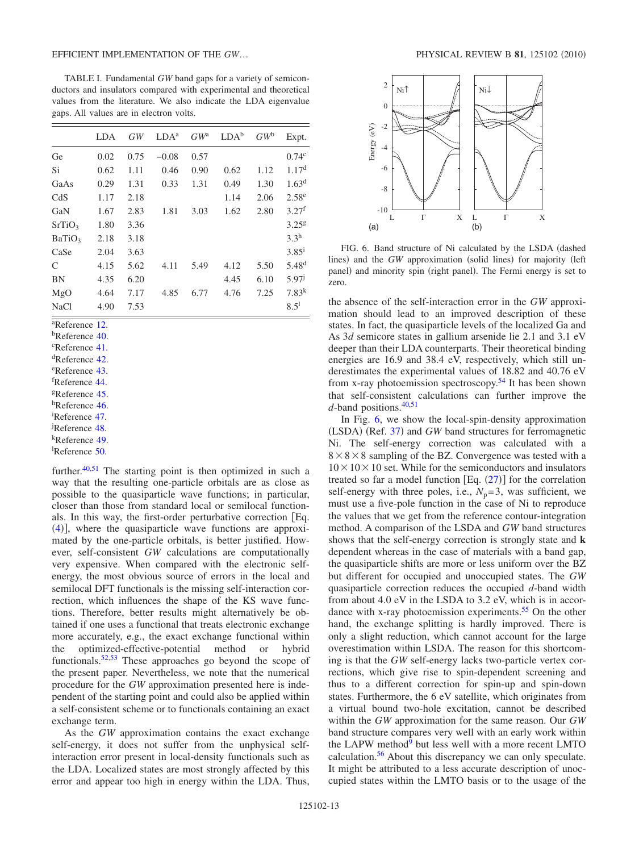<span id="page-12-0"></span>TABLE I. Fundamental *GW* band gaps for a variety of semiconductors and insulators compared with experimental and theoretical values from the literature. We also indicate the LDA eigenvalue gaps. All values are in electron volts.

|                    | LDA  | GW   | LDA <sup>a</sup> | GW <sup>a</sup> | $LDA^b$ | $GW^b$ | Expt.             |
|--------------------|------|------|------------------|-----------------|---------|--------|-------------------|
| Ge                 | 0.02 | 0.75 | $-0.08$          | 0.57            |         |        | 0.74 <sup>c</sup> |
| Si                 | 0.62 | 1.11 | 0.46             | 0.90            | 0.62    | 1.12   | 1.17 <sup>d</sup> |
| GaAs               | 0.29 | 1.31 | 0.33             | 1.31            | 0.49    | 1.30   | 1.63 <sup>d</sup> |
| CdS                | 1.17 | 2.18 |                  |                 | 1.14    | 2.06   | 2.58 <sup>e</sup> |
| GaN                | 1.67 | 2.83 | 1.81             | 3.03            | 1.62    | 2.80   | 3.27 <sup>f</sup> |
| SrTiO <sub>3</sub> | 1.80 | 3.36 |                  |                 |         |        | 3.25 <sup>g</sup> |
| BaTiO <sub>3</sub> | 2.18 | 3.18 |                  |                 |         |        | $3.3^h$           |
| CaSe               | 2.04 | 3.63 |                  |                 |         |        | $3.85^{i}$        |
| C                  | 4.15 | 5.62 | 4.11             | 5.49            | 4.12    | 5.50   | $5.48^{d}$        |
| BN                 | 4.35 | 6.20 |                  |                 | 4.45    | 6.10   | 5.97 <sup>j</sup> |
| MgO                | 4.64 | 7.17 | 4.85             | 6.77            | 4.76    | 7.25   | $7.83^{k}$        |
| <b>NaCl</b>        | 4.90 | 7.53 |                  |                 |         |        | $8.5^{1}$         |

a Reference [12.](#page-14-10)

b Reference [40.](#page-14-37)

c Reference [41.](#page-14-38)

d Reference [42.](#page-14-39)

e Reference [43.](#page-14-40)

f Reference [44.](#page-14-41)

g Reference [45.](#page-14-42)

<sup>h</sup>Reference [46.](#page-14-43)

i Reference [47.](#page-14-44)

j Reference [48.](#page-14-45) k Reference [49.](#page-14-46)

<sup>l</sup>Reference [50.](#page-14-47)

further. $40,51$  $40,51$  The starting point is then optimized in such a way that the resulting one-particle orbitals are as close as possible to the quasiparticle wave functions; in particular, closer than those from standard local or semilocal functionals. In this way, the first-order perturbative correction Eq. ([4](#page-1-3))], where the quasiparticle wave functions are approximated by the one-particle orbitals, is better justified. However, self-consistent *GW* calculations are computationally very expensive. When compared with the electronic selfenergy, the most obvious source of errors in the local and semilocal DFT functionals is the missing self-interaction correction, which influences the shape of the KS wave functions. Therefore, better results might alternatively be obtained if one uses a functional that treats electronic exchange more accurately, e.g., the exact exchange functional within the optimized-effective-potential method or hybrid functionals. $52,53$  $52,53$  These approaches go beyond the scope of the present paper. Nevertheless, we note that the numerical procedure for the *GW* approximation presented here is independent of the starting point and could also be applied within a self-consistent scheme or to functionals containing an exact exchange term.

As the *GW* approximation contains the exact exchange self-energy, it does not suffer from the unphysical selfinteraction error present in local-density functionals such as the LDA. Localized states are most strongly affected by this error and appear too high in energy within the LDA. Thus,

<span id="page-12-1"></span>

FIG. 6. Band structure of Ni calculated by the LSDA (dashed lines) and the *GW* approximation (solid lines) for majority (left panel) and minority spin (right panel). The Fermi energy is set to zero.

the absence of the self-interaction error in the *GW* approximation should lead to an improved description of these states. In fact, the quasiparticle levels of the localized Ga and As 3*d* semicore states in gallium arsenide lie 2.1 and 3.1 eV deeper than their LDA counterparts. Their theoretical binding energies are 16.9 and 38.4 eV, respectively, which still underestimates the experimental values of 18.82 and 40.76 eV from x-ray photoemission spectroscopy[.54](#page-15-3) It has been shown that self-consistent calculations can further improve the  $d$ -band positions.<sup>40[,51](#page-15-0)</sup>

In Fig. [6,](#page-12-1) we show the local-spin-density approximation (LSDA) (Ref. [37](#page-14-34)) and *GW* band structures for ferromagnetic Ni. The self-energy correction was calculated with a  $8 \times 8 \times 8$  sampling of the BZ. Convergence was tested with a  $10 \times 10 \times 10$  set. While for the semiconductors and insulators treated so far a model function  $[Eq. (27)]$  $[Eq. (27)]$  $[Eq. (27)]$  for the correlation self-energy with three poles, i.e.,  $N_p=3$ , was sufficient, we must use a five-pole function in the case of Ni to reproduce the values that we get from the reference contour-integration method. A comparison of the LSDA and *GW* band structures shows that the self-energy correction is strongly state and **k** dependent whereas in the case of materials with a band gap, the quasiparticle shifts are more or less uniform over the BZ but different for occupied and unoccupied states. The *GW* quasiparticle correction reduces the occupied *d*-band width from about 4.0 eV in the LSDA to 3.2 eV, which is in accordance with x-ray photoemission experiments.<sup>55</sup> On the other hand, the exchange splitting is hardly improved. There is only a slight reduction, which cannot account for the large overestimation within LSDA. The reason for this shortcoming is that the *GW* self-energy lacks two-particle vertex corrections, which give rise to spin-dependent screening and thus to a different correction for spin-up and spin-down states. Furthermore, the 6 eV satellite, which originates from a virtual bound two-hole excitation, cannot be described within the *GW* approximation for the same reason. Our *GW* band structure compares very well with an early work within the LAPW method $9$  but less well with a more recent LMTO calculation[.56](#page-15-5) About this discrepancy we can only speculate. It might be attributed to a less accurate description of unoccupied states within the LMTO basis or to the usage of the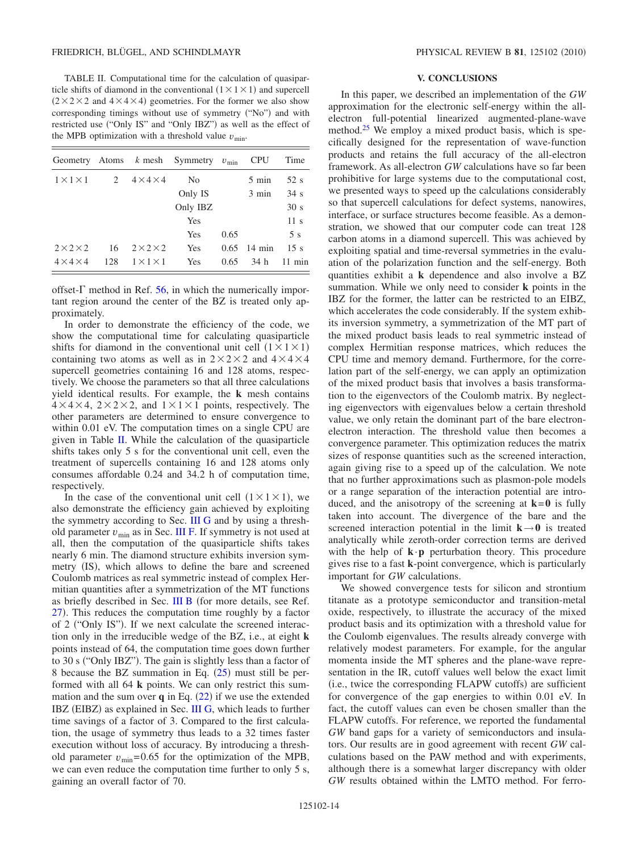<span id="page-13-1"></span>TABLE II. Computational time for the calculation of quasiparticle shifts of diamond in the conventional  $(1 \times 1 \times 1)$  and supercell  $(2 \times 2 \times 2$  and  $4 \times 4 \times 4)$  geometries. For the former we also show corresponding timings without use of symmetry ("No") and with restricted use ("Only IS" and "Only IBZ") as well as the effect of the MPB optimization with a threshold value  $v_{\text{min}}$ .

|                       |     |                       | Geometry Atoms $k$ mesh Symmetry $v_{\min}$ |      | <b>CPU</b>       | Time             |
|-----------------------|-----|-----------------------|---------------------------------------------|------|------------------|------------------|
| $1 \times 1 \times 1$ | 2   | $4 \times 4 \times 4$ | N <sub>0</sub>                              |      | 5 min            | 52 s             |
|                       |     |                       | Only IS                                     |      | 3 min            | 34s              |
|                       |     |                       | Only IBZ                                    |      |                  | 30 <sub>s</sub>  |
|                       |     |                       | Yes                                         |      |                  | 11 s             |
|                       |     |                       | Yes                                         | 0.65 |                  | 5s               |
| $2\times2\times2$     | 16  | $2\times2\times2$     | Yes                                         | 0.65 | $14 \text{ min}$ | 15s              |
| $4 \times 4 \times 4$ | 128 | $1 \times 1 \times 1$ | Yes                                         | 0.65 | 34 h             | $11 \text{ min}$ |

offset- $\Gamma$  method in Ref. [56,](#page-15-5) in which the numerically important region around the center of the BZ is treated only approximately.

In order to demonstrate the efficiency of the code, we show the computational time for calculating quasiparticle shifts for diamond in the conventional unit cell  $(1 \times 1 \times 1)$ containing two atoms as well as in  $2 \times 2 \times 2$  and  $4 \times 4 \times 4$ supercell geometries containing 16 and 128 atoms, respectively. We choose the parameters so that all three calculations yield identical results. For example, the **k** mesh contains  $4 \times 4 \times 4$ ,  $2 \times 2 \times 2$ , and  $1 \times 1 \times 1$  points, respectively. The other parameters are determined to ensure convergence to within 0.01 eV. The computation times on a single CPU are given in Table [II.](#page-13-1) While the calculation of the quasiparticle shifts takes only 5 s for the conventional unit cell, even the treatment of supercells containing 16 and 128 atoms only consumes affordable 0.24 and 34.2 h of computation time, respectively.

In the case of the conventional unit cell  $(1 \times 1 \times 1)$ , we also demonstrate the efficiency gain achieved by exploiting the symmetry according to Sec. [III G](#page-8-2) and by using a threshold parameter  $v_{\text{min}}$  as in Sec. [III F.](#page-8-1) If symmetry is not used at all, then the computation of the quasiparticle shifts takes nearly 6 min. The diamond structure exhibits inversion symmetry (IS), which allows to define the bare and screened Coulomb matrices as real symmetric instead of complex Hermitian quantities after a symmetrization of the MT functions as briefly described in Sec. III  $\overline{B}$  (for more details, see Ref. [27](#page-14-24)). This reduces the computation time roughly by a factor of 2 ("Only IS"). If we next calculate the screened interaction only in the irreducible wedge of the BZ, i.e., at eight **k** points instead of 64, the computation time goes down further to 30 s ("Only IBZ"). The gain is slightly less than a factor of 8 because the BZ summation in Eq.  $(25)$  $(25)$  $(25)$  must still be performed with all 64 **k** points. We can only restrict this summation and the sum over  $q$  in Eq.  $(22)$  $(22)$  $(22)$  if we use the extended IBZ (EIBZ) as explained in Sec. [III G,](#page-8-2) which leads to further time savings of a factor of 3. Compared to the first calculation, the usage of symmetry thus leads to a 32 times faster execution without loss of accuracy. By introducing a threshold parameter  $v_{\text{min}}$ =0.65 for the optimization of the MPB, we can even reduce the computation time further to only 5 s, gaining an overall factor of 70.

## **V. CONCLUSIONS**

<span id="page-13-0"></span>In this paper, we described an implementation of the *GW* approximation for the electronic self-energy within the allelectron full-potential linearized augmented-plane-wave method[.25](#page-14-22) We employ a mixed product basis, which is specifically designed for the representation of wave-function products and retains the full accuracy of the all-electron framework. As all-electron *GW* calculations have so far been prohibitive for large systems due to the computational cost, we presented ways to speed up the calculations considerably so that supercell calculations for defect systems, nanowires, interface, or surface structures become feasible. As a demonstration, we showed that our computer code can treat 128 carbon atoms in a diamond supercell. This was achieved by exploiting spatial and time-reversal symmetries in the evaluation of the polarization function and the self-energy. Both quantities exhibit a **k** dependence and also involve a BZ summation. While we only need to consider **k** points in the IBZ for the former, the latter can be restricted to an EIBZ, which accelerates the code considerably. If the system exhibits inversion symmetry, a symmetrization of the MT part of the mixed product basis leads to real symmetric instead of complex Hermitian response matrices, which reduces the CPU time and memory demand. Furthermore, for the correlation part of the self-energy, we can apply an optimization of the mixed product basis that involves a basis transformation to the eigenvectors of the Coulomb matrix. By neglecting eigenvectors with eigenvalues below a certain threshold value, we only retain the dominant part of the bare electronelectron interaction. The threshold value then becomes a convergence parameter. This optimization reduces the matrix sizes of response quantities such as the screened interaction, again giving rise to a speed up of the calculation. We note that no further approximations such as plasmon-pole models or a range separation of the interaction potential are introduced, and the anisotropy of the screening at  $k=0$  is fully taken into account. The divergence of the bare and the screened interaction potential in the limit **k**→**0** is treated analytically while zeroth-order correction terms are derived with the help of **k**·**p** perturbation theory. This procedure gives rise to a fast **k**-point convergence, which is particularly important for *GW* calculations.

We showed convergence tests for silicon and strontium titanate as a prototype semiconductor and transition-metal oxide, respectively, to illustrate the accuracy of the mixed product basis and its optimization with a threshold value for the Coulomb eigenvalues. The results already converge with relatively modest parameters. For example, for the angular momenta inside the MT spheres and the plane-wave representation in the IR, cutoff values well below the exact limit (i.e., twice the corresponding FLAPW cutoffs) are sufficient for convergence of the gap energies to within 0.01 eV. In fact, the cutoff values can even be chosen smaller than the FLAPW cutoffs. For reference, we reported the fundamental *GW* band gaps for a variety of semiconductors and insulators. Our results are in good agreement with recent *GW* calculations based on the PAW method and with experiments, although there is a somewhat larger discrepancy with older *GW* results obtained within the LMTO method. For ferro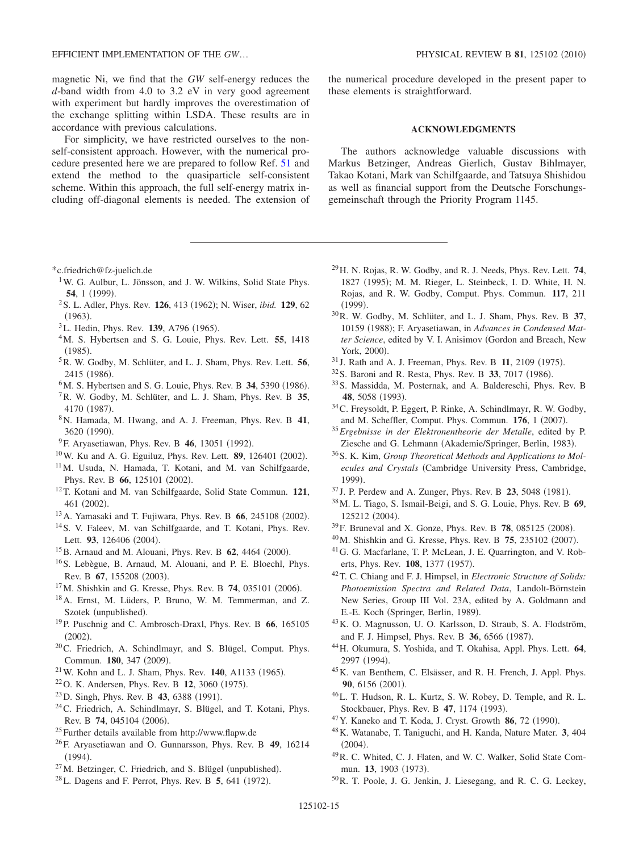magnetic Ni, we find that the *GW* self-energy reduces the *d*-band width from 4.0 to 3.2 eV in very good agreement with experiment but hardly improves the overestimation of the exchange splitting within LSDA. These results are in accordance with previous calculations.

For simplicity, we have restricted ourselves to the nonself-consistent approach. However, with the numerical procedure presented here we are prepared to follow Ref. [51](#page-15-0) and extend the method to the quasiparticle self-consistent scheme. Within this approach, the full self-energy matrix including off-diagonal elements is needed. The extension of

<span id="page-14-0"></span>\*c.friedrich@fz-juelich.de

- <span id="page-14-1"></span><sup>1</sup>W. G. Aulbur, L. Jönsson, and J. W. Wilkins, Solid State Phys. **54**, 1 (1999).
- <span id="page-14-2"></span><sup>2</sup> S. L. Adler, Phys. Rev. **126**, 413 (1962); N. Wiser, *ibid.* **129**, 62  $(1963).$
- <span id="page-14-3"></span><sup>3</sup>L. Hedin, Phys. Rev. **139**, A796 (1965).
- <span id="page-14-4"></span>4M. S. Hybertsen and S. G. Louie, Phys. Rev. Lett. **55**, 1418  $(1985).$
- 5R. W. Godby, M. Schlüter, and L. J. Sham, Phys. Rev. Lett. **56**, 2415 (1986).
- <sup>6</sup>M. S. Hybertsen and S. G. Louie, Phys. Rev. B **34**, 5390 (1986).
- <span id="page-14-5"></span>7R. W. Godby, M. Schlüter, and L. J. Sham, Phys. Rev. B **35**, 4170 (1987).
- <span id="page-14-6"></span>8N. Hamada, M. Hwang, and A. J. Freeman, Phys. Rev. B **41**, 3620 (1990).
- <span id="page-14-7"></span><sup>9</sup>F. Aryasetiawan, Phys. Rev. B **46**, 13051 (1992).
- <span id="page-14-8"></span><sup>10</sup>W. Ku and A. G. Eguiluz, Phys. Rev. Lett. **89**, 126401 (2002).
- <span id="page-14-9"></span>11M. Usuda, N. Hamada, T. Kotani, and M. van Schilfgaarde, Phys. Rev. B **66**, 125101 (2002).
- <span id="page-14-10"></span>12T. Kotani and M. van Schilfgaarde, Solid State Commun. **121**, 461 (2002).
- <sup>13</sup> A. Yamasaki and T. Fujiwara, Phys. Rev. B **66**, 245108 (2002).
- <span id="page-14-11"></span>14S. V. Faleev, M. van Schilfgaarde, and T. Kotani, Phys. Rev. Lett. 93, 126406 (2004).
- <span id="page-14-12"></span><sup>15</sup> B. Arnaud and M. Alouani, Phys. Rev. B **62**, 4464 (2000).
- <span id="page-14-16"></span>16S. Lebègue, B. Arnaud, M. Alouani, and P. E. Bloechl, Phys. Rev. B 67, 155208 (2003).
- <span id="page-14-13"></span><sup>17</sup>M. Shishkin and G. Kresse, Phys. Rev. B **74**, 035101 (2006).
- <span id="page-14-14"></span>18A. Ernst, M. Lüders, P. Bruno, W. M. Temmerman, and Z. Szotek (unpublished).
- <span id="page-14-15"></span>19P. Puschnig and C. Ambrosch-Draxl, Phys. Rev. B **66**, 165105  $(2002).$
- <span id="page-14-17"></span> $20$ C. Friedrich, A. Schindlmayr, and S. Blügel, Comput. Phys. Commun. 180, 347 (2009).
- <span id="page-14-18"></span><sup>21</sup> W. Kohn and L. J. Sham, Phys. Rev. **140**, A1133 (1965).
- <span id="page-14-19"></span> $22$ O. K. Andersen, Phys. Rev. B 12, 3060 (1975).
- <span id="page-14-20"></span><sup>23</sup>D. Singh, Phys. Rev. B **43**, 6388 (1991).
- <span id="page-14-21"></span>24C. Friedrich, A. Schindlmayr, S. Blügel, and T. Kotani, Phys. Rev. B 74, 045104 (2006).
- <span id="page-14-22"></span>25Further details available from http://www.flapw.de
- <span id="page-14-23"></span>26F. Aryasetiawan and O. Gunnarsson, Phys. Rev. B **49**, 16214  $(1994).$
- <span id="page-14-24"></span> $^{27}$ M. Betzinger, C. Friedrich, and S. Blügel (unpublished).
- <span id="page-14-25"></span> $^{28}$ L. Dagens and F. Perrot, Phys. Rev. B 5, 641 (1972).

the numerical procedure developed in the present paper to these elements is straightforward.

## **ACKNOWLEDGMENTS**

The authors acknowledge valuable discussions with Markus Betzinger, Andreas Gierlich, Gustav Bihlmayer, Takao Kotani, Mark van Schilfgaarde, and Tatsuya Shishidou as well as financial support from the Deutsche Forschungsgemeinschaft through the Priority Program 1145.

- <span id="page-14-26"></span>29H. N. Rojas, R. W. Godby, and R. J. Needs, Phys. Rev. Lett. **74**, 1827 (1995); M. M. Rieger, L. Steinbeck, I. D. White, H. N. Rojas, and R. W. Godby, Comput. Phys. Commun. **117**, 211  $(1999).$
- <span id="page-14-27"></span>30R. W. Godby, M. Schlüter, and L. J. Sham, Phys. Rev. B **37**, 10159 (1988); F. Aryasetiawan, in *Advances in Condensed Matter Science*, edited by V. I. Anisimov (Gordon and Breach, New York, 2000).
- <span id="page-14-28"></span><sup>31</sup> J. Rath and A. J. Freeman, Phys. Rev. B **11**, 2109 (1975).
- <span id="page-14-29"></span><sup>32</sup> S. Baroni and R. Resta, Phys. Rev. B **33**, 7017 (1986).
- <span id="page-14-30"></span>33S. Massidda, M. Posternak, and A. Baldereschi, Phys. Rev. B **48**, 5058 (1993).
- <span id="page-14-31"></span>34C. Freysoldt, P. Eggert, P. Rinke, A. Schindlmayr, R. W. Godby, and M. Scheffler, Comput. Phys. Commun. 176, 1 (2007).
- <span id="page-14-32"></span><sup>35</sup>*Ergebnisse in der Elektronentheorie der Metalle*, edited by P. Ziesche and G. Lehmann (Akademie/Springer, Berlin, 1983).
- <span id="page-14-33"></span>36S. K. Kim, *Group Theoretical Methods and Applications to Molecules and Crystals* Cambridge University Press, Cambridge, 1999).
- <span id="page-14-34"></span><sup>37</sup> J. P. Perdew and A. Zunger, Phys. Rev. B **23**, 5048 (1981).
- <span id="page-14-35"></span>38M. L. Tiago, S. Ismail-Beigi, and S. G. Louie, Phys. Rev. B **69**, 125212 (2004).
- <span id="page-14-36"></span><sup>39</sup> F. Bruneval and X. Gonze, Phys. Rev. B **78**, 085125 (2008).
- <span id="page-14-37"></span><sup>40</sup>M. Shishkin and G. Kresse, Phys. Rev. B **75**, 235102 (2007).
- <span id="page-14-38"></span>41G. G. Macfarlane, T. P. McLean, J. E. Quarrington, and V. Roberts, Phys. Rev. **108**, 1377 (1957).
- <span id="page-14-39"></span>42T. C. Chiang and F. J. Himpsel, in *Electronic Structure of Solids: Photoemission Spectra and Related Data*, Landolt-Börnstein New Series, Group III Vol. 23A, edited by A. Goldmann and E.-E. Koch (Springer, Berlin, 1989).
- <span id="page-14-40"></span>43K. O. Magnusson, U. O. Karlsson, D. Straub, S. A. Flodström, and F. J. Himpsel, Phys. Rev. B 36, 6566 (1987).
- <span id="page-14-41"></span>44H. Okumura, S. Yoshida, and T. Okahisa, Appl. Phys. Lett. **64**, 2997 (1994).
- <span id="page-14-42"></span>45K. van Benthem, C. Elsässer, and R. H. French, J. Appl. Phys. 90, 6156 (2001).
- <span id="page-14-43"></span>46L. T. Hudson, R. L. Kurtz, S. W. Robey, D. Temple, and R. L. Stockbauer, Phys. Rev. B 47, 1174 (1993).
- <span id="page-14-44"></span><sup>47</sup> Y. Kaneko and T. Koda, J. Cryst. Growth **86**, 72 (1990).
- <span id="page-14-45"></span>48K. Watanabe, T. Taniguchi, and H. Kanda, Nature Mater. **3**, 404  $(2004).$
- <span id="page-14-46"></span>49R. C. Whited, C. J. Flaten, and W. C. Walker, Solid State Commun. 13, 1903 (1973).
- <span id="page-14-47"></span>50R. T. Poole, J. G. Jenkin, J. Liesegang, and R. C. G. Leckey,